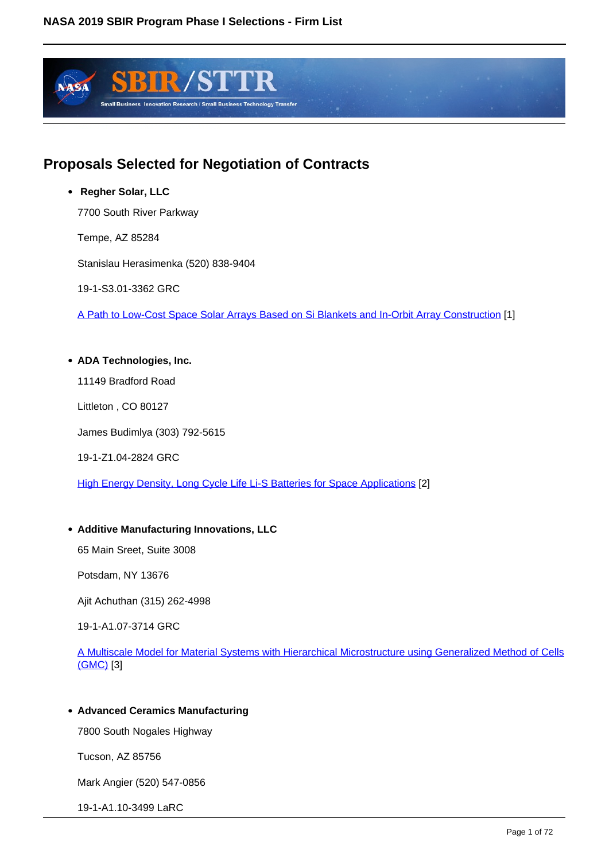

## **Proposals Selected for Negotiation of Contracts**

 **Regher Solar, LLC**

7700 South River Parkway

Tempe, AZ 85284

Stanislau Herasimenka (520) 838-9404

19-1-S3.01-3362 GRC

A Path to Low-Cost Space Solar Arrays Based on Si Blankets and In-Orbit Array Construction [1]

#### **ADA Technologies, Inc.**

11149 Bradford Road

Littleton , CO 80127

James Budimlya (303) 792-5615

19-1-Z1.04-2824 GRC

High Energy Density, Long Cycle Life Li-S Batteries for Space Applications [2]

#### **Additive Manufacturing Innovations, LLC**

65 Main Sreet, Suite 3008

Potsdam, NY 13676

Ajit Achuthan (315) 262-4998

19-1-A1.07-3714 GRC

A Multiscale Model for Material Systems with Hierarchical Microstructure using Generalized Method of Cells (GMC) [3]

#### **Advanced Ceramics Manufacturing**

7800 South Nogales Highway

Tucson, AZ 85756

Mark Angier (520) 547-0856

19-1-A1.10-3499 LaRC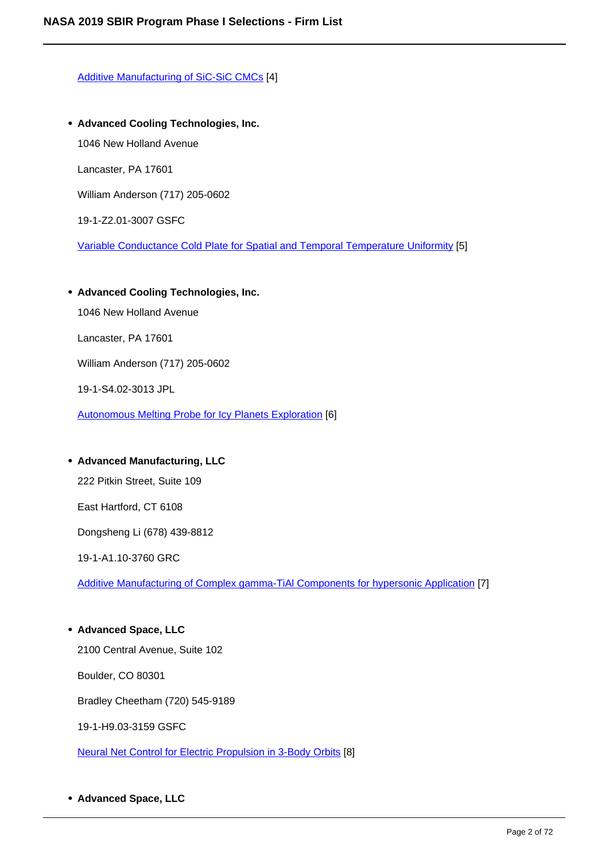Additive Manufacturing of SiC-SiC CMCs [4]

- **Advanced Cooling Technologies, Inc.** 1046 New Holland Avenue Lancaster, PA 17601 William Anderson (717) 205-0602 19-1-Z2.01-3007 GSFC Variable Conductance Cold Plate for Spatial and Temporal Temperature Uniformity [5]
- **Advanced Cooling Technologies, Inc.**

1046 New Holland Avenue

Lancaster, PA 17601

William Anderson (717) 205-0602

19-1-S4.02-3013 JPL

Autonomous Melting Probe for Icy Planets Exploration [6]

## **Advanced Manufacturing, LLC**

222 Pitkin Street, Suite 109

East Hartford, CT 6108

Dongsheng Li (678) 439-8812

19-1-A1.10-3760 GRC

Additive Manufacturing of Complex gamma-TiAl Components for hypersonic Application [7]

**Advanced Space, LLC** 2100 Central Avenue, Suite 102 Boulder, CO 80301 Bradley Cheetham (720) 545-9189 19-1-H9.03-3159 GSFC

Neural Net Control for Electric Propulsion in 3-Body Orbits [8]

**Advanced Space, LLC**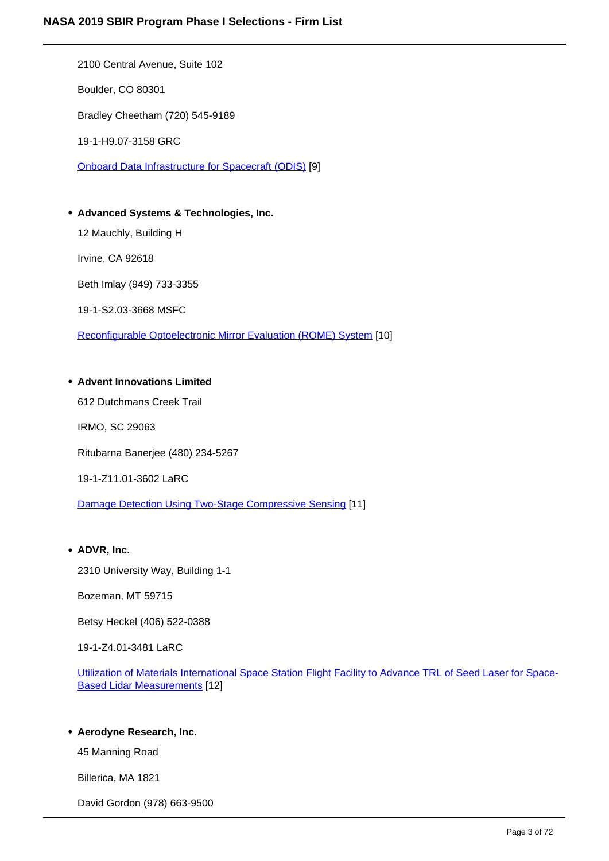2100 Central Avenue, Suite 102 Boulder, CO 80301 Bradley Cheetham (720) 545-9189 19-1-H9.07-3158 GRC Onboard Data Infrastructure for Spacecraft (ODIS) [9] **Advanced Systems & Technologies, Inc.**

12 Mauchly, Building H

Irvine, CA 92618

Beth Imlay (949) 733-3355

19-1-S2.03-3668 MSFC

Reconfigurable Optoelectronic Mirror Evaluation (ROME) System [10]

#### **Advent Innovations Limited**

612 Dutchmans Creek Trail

IRMO, SC 29063

Ritubarna Banerjee (480) 234-5267

19-1-Z11.01-3602 LaRC

Damage Detection Using Two-Stage Compressive Sensing [11]

#### **ADVR, Inc.**

2310 University Way, Building 1-1

Bozeman, MT 59715

Betsy Heckel (406) 522-0388

19-1-Z4.01-3481 LaRC

Utilization of Materials International Space Station Flight Facility to Advance TRL of Seed Laser for Space-Based Lidar Measurements [12]

#### **Aerodyne Research, Inc.**

45 Manning Road

Billerica, MA 1821

David Gordon (978) 663-9500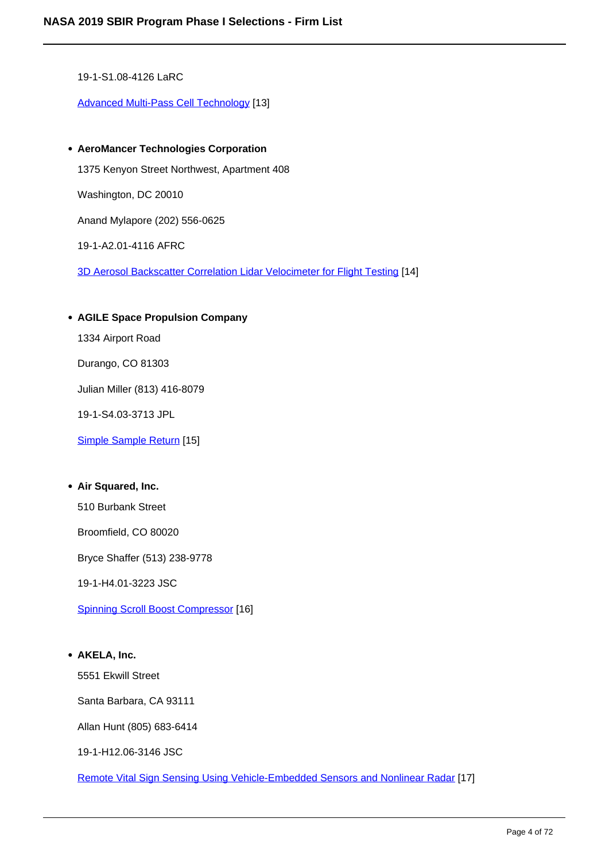19-1-S1.08-4126 LaRC

Advanced Multi-Pass Cell Technology [13]

- **AeroMancer Technologies Corporation** 1375 Kenyon Street Northwest, Apartment 408 Washington, DC 20010 Anand Mylapore (202) 556-0625 19-1-A2.01-4116 AFRC 3D Aerosol Backscatter Correlation Lidar Velocimeter for Flight Testing [14]
- **AGILE Space Propulsion Company** 1334 Airport Road Durango, CO 81303 Julian Miller (813) 416-8079 19-1-S4.03-3713 JPL Simple Sample Return [15]

#### **Air Squared, Inc.**

510 Burbank Street

Broomfield, CO 80020

Bryce Shaffer (513) 238-9778

19-1-H4.01-3223 JSC

Spinning Scroll Boost Compressor [16]

#### **AKELA, Inc.**

5551 Ekwill Street

Santa Barbara, CA 93111

Allan Hunt (805) 683-6414

19-1-H12.06-3146 JSC

Remote Vital Sign Sensing Using Vehicle-Embedded Sensors and Nonlinear Radar [17]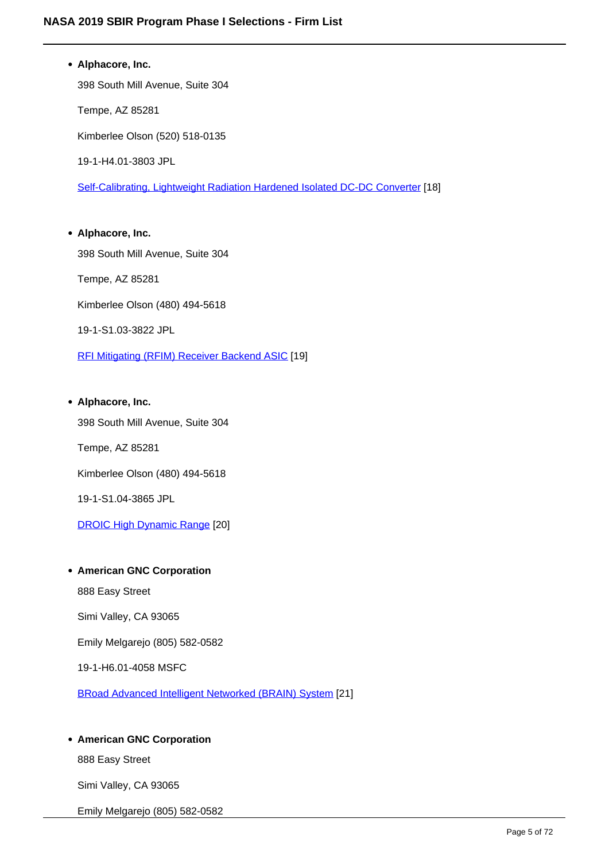# **Alphacore, Inc.** 398 South Mill Avenue, Suite 304 Tempe, AZ 85281 Kimberlee Olson (520) 518-0135 19-1-H4.01-3803 JPL Self-Calibrating, Lightweight Radiation Hardened Isolated DC-DC Converter [18] **Alphacore, Inc.**

398 South Mill Avenue, Suite 304 Tempe, AZ 85281 Kimberlee Olson (480) 494-5618 19-1-S1.03-3822 JPL

RFI Mitigating (RFIM) Receiver Backend ASIC [19]

## **Alphacore, Inc.**

398 South Mill Avenue, Suite 304

Tempe, AZ 85281

Kimberlee Olson (480) 494-5618

19-1-S1.04-3865 JPL

DROIC High Dynamic Range [20]

#### **American GNC Corporation**

888 Easy Street

Simi Valley, CA 93065

Emily Melgarejo (805) 582-0582

19-1-H6.01-4058 MSFC

BRoad Advanced Intelligent Networked (BRAIN) System [21]

### **American GNC Corporation**

888 Easy Street

Simi Valley, CA 93065

Emily Melgarejo (805) 582-0582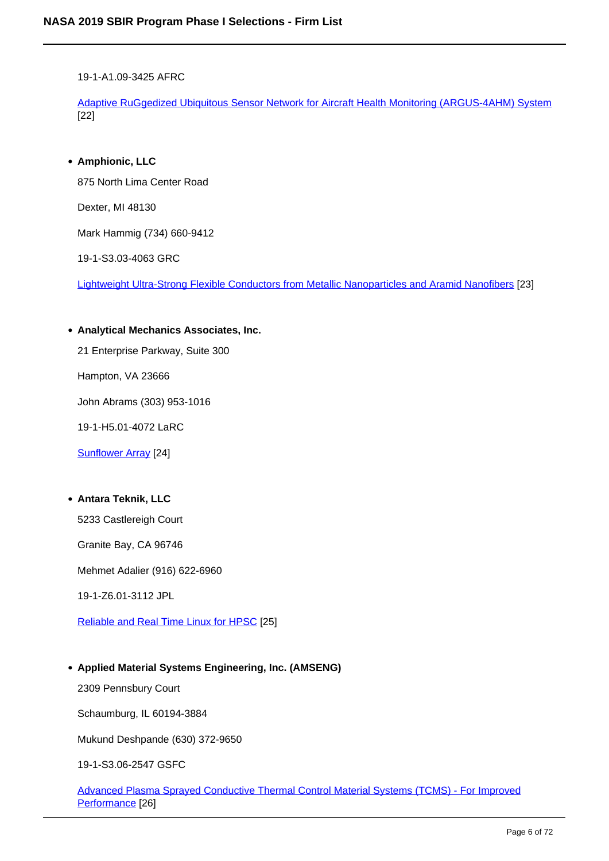19-1-A1.09-3425 AFRC

Adaptive RuGgedized Ubiquitous Sensor Network for Aircraft Health Monitoring (ARGUS-4AHM) System [22]

**Amphionic, LLC**

875 North Lima Center Road

Dexter, MI 48130

Mark Hammig (734) 660-9412

19-1-S3.03-4063 GRC

Lightweight Ultra-Strong Flexible Conductors from Metallic Nanoparticles and Aramid Nanofibers [23]

**Analytical Mechanics Associates, Inc.**

21 Enterprise Parkway, Suite 300

Hampton, VA 23666

John Abrams (303) 953-1016

19-1-H5.01-4072 LaRC

Sunflower Array [24]

#### **Antara Teknik, LLC**

5233 Castlereigh Court

Granite Bay, CA 96746

Mehmet Adalier (916) 622-6960

19-1-Z6.01-3112 JPL

Reliable and Real Time Linux for HPSC [25]

#### **Applied Material Systems Engineering, Inc. (AMSENG)**

2309 Pennsbury Court

Schaumburg, IL 60194-3884

Mukund Deshpande (630) 372-9650

19-1-S3.06-2547 GSFC

Advanced Plasma Sprayed Conductive Thermal Control Material Systems (TCMS) - For Improved Performance [26]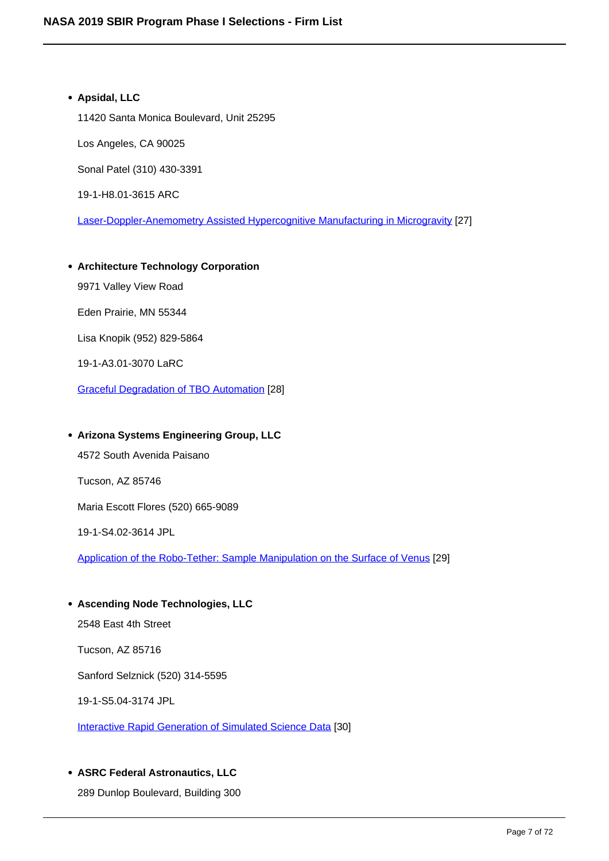## **Apsidal, LLC** 11420 Santa Monica Boulevard, Unit 25295 Los Angeles, CA 90025 Sonal Patel (310) 430-3391 19-1-H8.01-3615 ARC Laser-Doppler-Anemometry Assisted Hypercognitive Manufacturing in Microgravity [27]

**Architecture Technology Corporation** 9971 Valley View Road Eden Prairie, MN 55344 Lisa Knopik (952) 829-5864 19-1-A3.01-3070 LaRC Graceful Degradation of TBO Automation [28]

#### **Arizona Systems Engineering Group, LLC**

4572 South Avenida Paisano

Tucson, AZ 85746

Maria Escott Flores (520) 665-9089

19-1-S4.02-3614 JPL

Application of the Robo-Tether: Sample Manipulation on the Surface of Venus [29]

**Ascending Node Technologies, LLC** 2548 East 4th Street Tucson, AZ 85716 Sanford Selznick (520) 314-5595 19-1-S5.04-3174 JPL

Interactive Rapid Generation of Simulated Science Data [30]

#### **ASRC Federal Astronautics, LLC**

289 Dunlop Boulevard, Building 300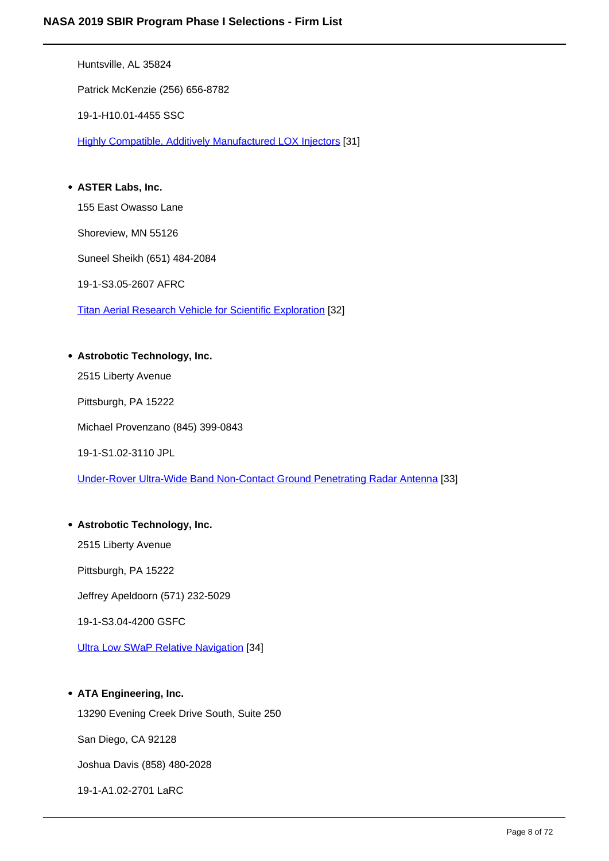Huntsville, AL 35824

Patrick McKenzie (256) 656-8782

19-1-H10.01-4455 SSC

Highly Compatible, Additively Manufactured LOX Injectors [31]

**ASTER Labs, Inc.**

155 East Owasso Lane

Shoreview, MN 55126

Suneel Sheikh (651) 484-2084

19-1-S3.05-2607 AFRC

Titan Aerial Research Vehicle for Scientific Exploration [32]

#### **Astrobotic Technology, Inc.**

2515 Liberty Avenue

Pittsburgh, PA 15222

Michael Provenzano (845) 399-0843

19-1-S1.02-3110 JPL

Under-Rover Ultra-Wide Band Non-Contact Ground Penetrating Radar Antenna [33]

#### **Astrobotic Technology, Inc.**

2515 Liberty Avenue

Pittsburgh, PA 15222

Jeffrey Apeldoorn (571) 232-5029

19-1-S3.04-4200 GSFC

Ultra Low SWaP Relative Navigation [34]

#### **ATA Engineering, Inc.**

13290 Evening Creek Drive South, Suite 250

San Diego, CA 92128

Joshua Davis (858) 480-2028

19-1-A1.02-2701 LaRC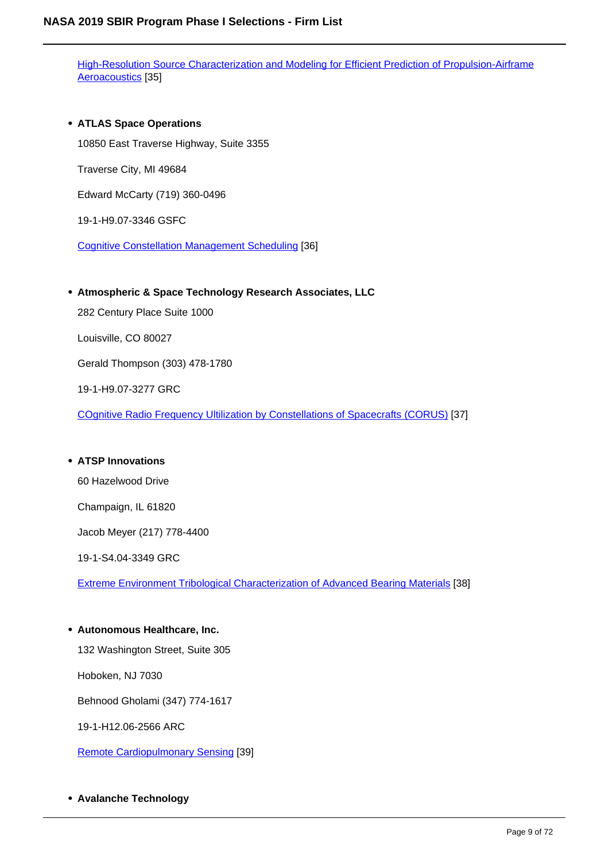High-Resolution Source Characterization and Modeling for Efficient Prediction of Propulsion-Airframe Aeroacoustics [35]

**ATLAS Space Operations** 10850 East Traverse Highway, Suite 3355 Traverse City, MI 49684 Edward McCarty (719) 360-0496 19-1-H9.07-3346 GSFC

Cognitive Constellation Management Scheduling [36]

**Atmospheric & Space Technology Research Associates, LLC**

282 Century Place Suite 1000

Louisville, CO 80027

Gerald Thompson (303) 478-1780

19-1-H9.07-3277 GRC

COgnitive Radio Frequency Ultilization by Constellations of Spacecrafts (CORUS) [37]

#### **ATSP Innovations**

60 Hazelwood Drive

Champaign, IL 61820

Jacob Meyer (217) 778-4400

19-1-S4.04-3349 GRC

Extreme Environment Tribological Characterization of Advanced Bearing Materials [38]

#### **Autonomous Healthcare, Inc.**

132 Washington Street, Suite 305

Hoboken, NJ 7030

Behnood Gholami (347) 774-1617

19-1-H12.06-2566 ARC

Remote Cardiopulmonary Sensing [39]

**Avalanche Technology**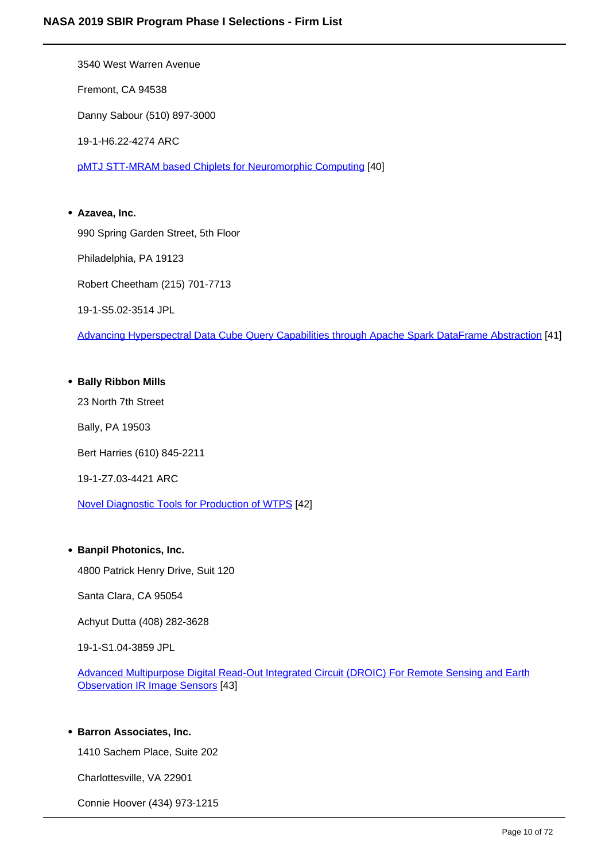3540 West Warren Avenue Fremont, CA 94538 Danny Sabour (510) 897-3000 19-1-H6.22-4274 ARC pMTJ STT-MRAM based Chiplets for Neuromorphic Computing [40] **Azavea, Inc.**

990 Spring Garden Street, 5th Floor Philadelphia, PA 19123 Robert Cheetham (215) 701-7713 19-1-S5.02-3514 JPL

Advancing Hyperspectral Data Cube Query Capabilities through Apache Spark DataFrame Abstraction [41]

#### **Bally Ribbon Mills**

23 North 7th Street

Bally, PA 19503

Bert Harries (610) 845-2211

19-1-Z7.03-4421 ARC

Novel Diagnostic Tools for Production of WTPS [42]

#### **• Banpil Photonics, Inc.**

4800 Patrick Henry Drive, Suit 120

Santa Clara, CA 95054

Achyut Dutta (408) 282-3628

19-1-S1.04-3859 JPL

Advanced Multipurpose Digital Read-Out Integrated Circuit (DROIC) For Remote Sensing and Earth Observation IR Image Sensors [43]

#### **• Barron Associates, Inc.**

1410 Sachem Place, Suite 202

Charlottesville, VA 22901

Connie Hoover (434) 973-1215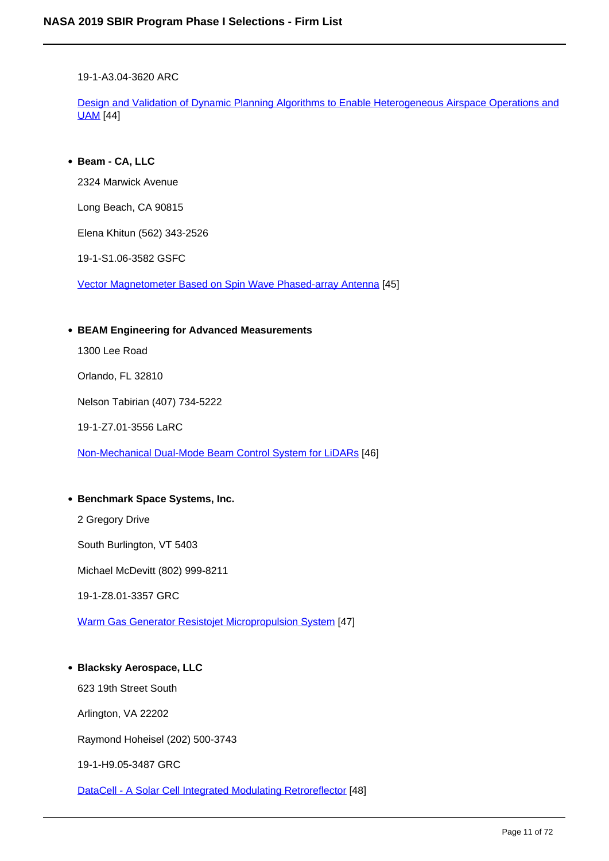19-1-A3.04-3620 ARC

Design and Validation of Dynamic Planning Algorithms to Enable Heterogeneous Airspace Operations and UAM [44]

**Beam - CA, LLC**

2324 Marwick Avenue

Long Beach, CA 90815

Elena Khitun (562) 343-2526

19-1-S1.06-3582 GSFC

Vector Magnetometer Based on Spin Wave Phased-array Antenna [45]

#### **BEAM Engineering for Advanced Measurements**

1300 Lee Road

Orlando, FL 32810

Nelson Tabirian (407) 734-5222

19-1-Z7.01-3556 LaRC

Non-Mechanical Dual-Mode Beam Control System for LiDARs [46]

#### **• Benchmark Space Systems, Inc.**

2 Gregory Drive

South Burlington, VT 5403

Michael McDevitt (802) 999-8211

19-1-Z8.01-3357 GRC

Warm Gas Generator Resistojet Micropropulsion System [47]

#### **Blacksky Aerospace, LLC**

623 19th Street South

Arlington, VA 22202

Raymond Hoheisel (202) 500-3743

19-1-H9.05-3487 GRC

DataCell - A Solar Cell Integrated Modulating Retroreflector [48]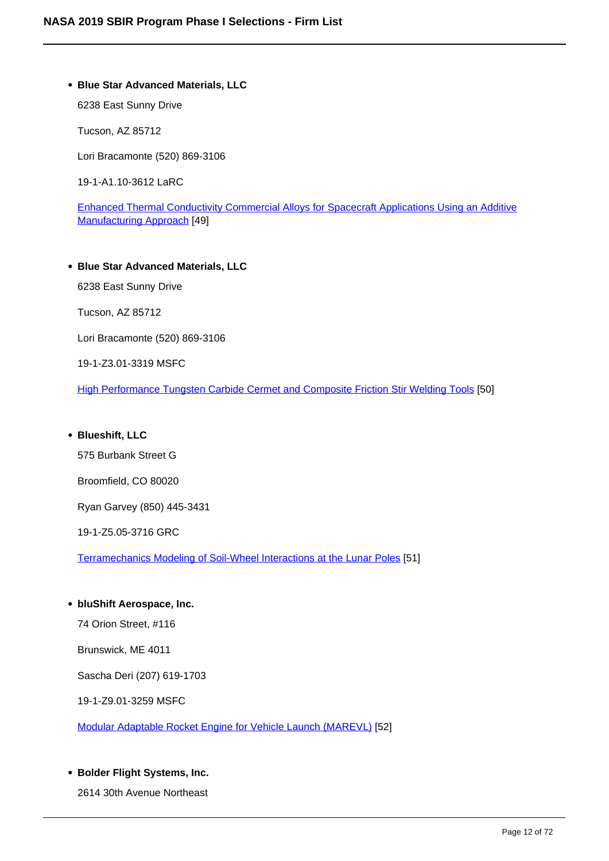#### **Blue Star Advanced Materials, LLC**

6238 East Sunny Drive

Tucson, AZ 85712

Lori Bracamonte (520) 869-3106

19-1-A1.10-3612 LaRC

Enhanced Thermal Conductivity Commercial Alloys for Spacecraft Applications Using an Additive Manufacturing Approach [49]

**Blue Star Advanced Materials, LLC** 6238 East Sunny Drive Tucson, AZ 85712 Lori Bracamonte (520) 869-3106 19-1-Z3.01-3319 MSFC

High Performance Tungsten Carbide Cermet and Composite Friction Stir Welding Tools [50]

**Blueshift, LLC**

575 Burbank Street G

Broomfield, CO 80020

Ryan Garvey (850) 445-3431

19-1-Z5.05-3716 GRC

Terramechanics Modeling of Soil-Wheel Interactions at the Lunar Poles [51]

**bluShift Aerospace, Inc.**

74 Orion Street, #116

Brunswick, ME 4011

Sascha Deri (207) 619-1703

19-1-Z9.01-3259 MSFC

Modular Adaptable Rocket Engine for Vehicle Launch (MAREVL) [52]

**Bolder Flight Systems, Inc.**

2614 30th Avenue Northeast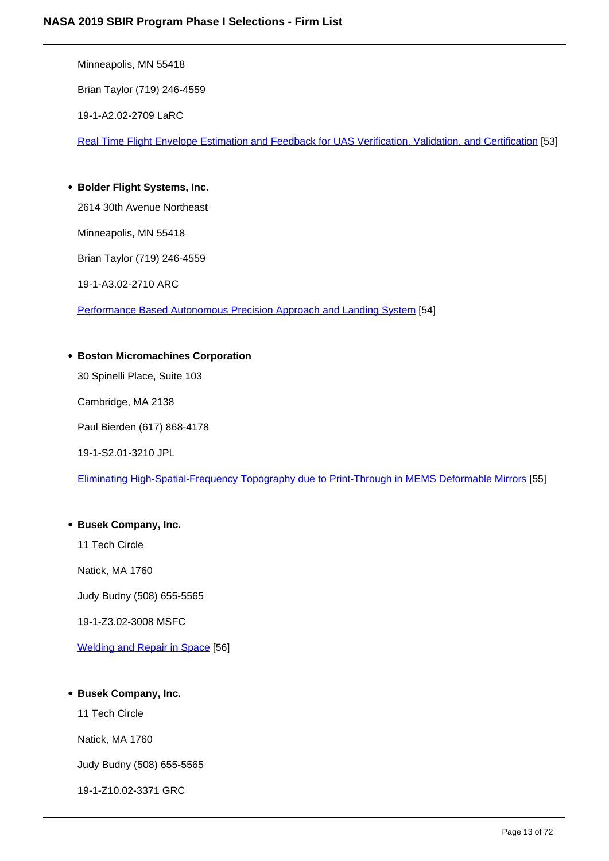Minneapolis, MN 55418

Brian Taylor (719) 246-4559

19-1-A2.02-2709 LaRC

Real Time Flight Envelope Estimation and Feedback for UAS Verification, Validation, and Certification [53]

**Bolder Flight Systems, Inc.**

2614 30th Avenue Northeast

Minneapolis, MN 55418

Brian Taylor (719) 246-4559

19-1-A3.02-2710 ARC

Performance Based Autonomous Precision Approach and Landing System [54]

#### **Boston Micromachines Corporation**

30 Spinelli Place, Suite 103

Cambridge, MA 2138

Paul Bierden (617) 868-4178

19-1-S2.01-3210 JPL

Eliminating High-Spatial-Frequency Topography due to Print-Through in MEMS Deformable Mirrors [55]

#### **Busek Company, Inc.**

11 Tech Circle

Natick, MA 1760

Judy Budny (508) 655-5565

19-1-Z3.02-3008 MSFC

Welding and Repair in Space [56]

### **Busek Company, Inc.**

11 Tech Circle

Natick, MA 1760

Judy Budny (508) 655-5565

19-1-Z10.02-3371 GRC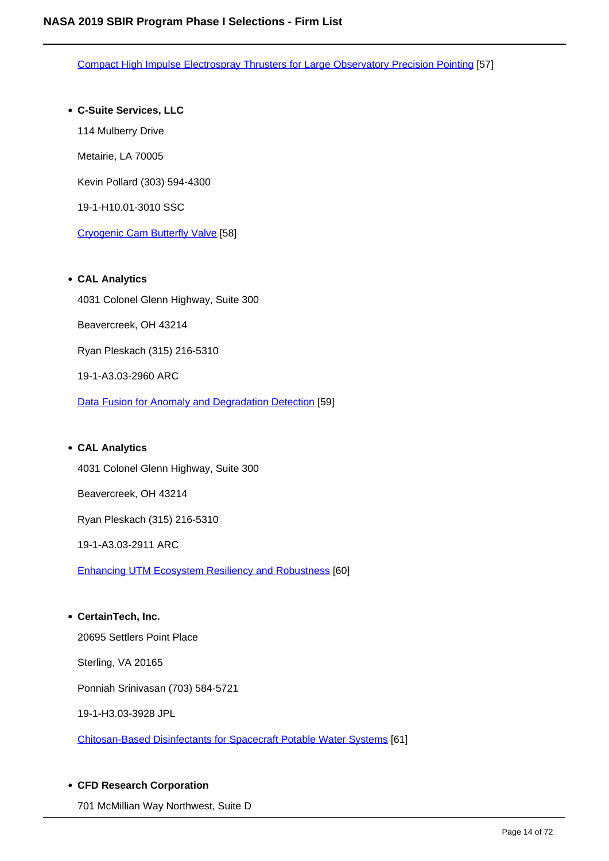Compact High Impulse Electrospray Thrusters for Large Observatory Precision Pointing [57]

#### **C-Suite Services, LLC**

114 Mulberry Drive

Metairie, LA 70005

Kevin Pollard (303) 594-4300

19-1-H10.01-3010 SSC

Cryogenic Cam Butterfly Valve [58]

#### **CAL Analytics**

4031 Colonel Glenn Highway, Suite 300 Beavercreek, OH 43214 Ryan Pleskach (315) 216-5310 19-1-A3.03-2960 ARC Data Fusion for Anomaly and Degradation Detection [59]

#### **CAL Analytics**

4031 Colonel Glenn Highway, Suite 300

Beavercreek, OH 43214

Ryan Pleskach (315) 216-5310

19-1-A3.03-2911 ARC

Enhancing UTM Ecosystem Resiliency and Robustness [60]

#### **CertainTech, Inc.**

20695 Settlers Point Place

Sterling, VA 20165

Ponniah Srinivasan (703) 584-5721

19-1-H3.03-3928 JPL

Chitosan-Based Disinfectants for Spacecraft Potable Water Systems [61]

#### **CFD Research Corporation**

701 McMillian Way Northwest, Suite D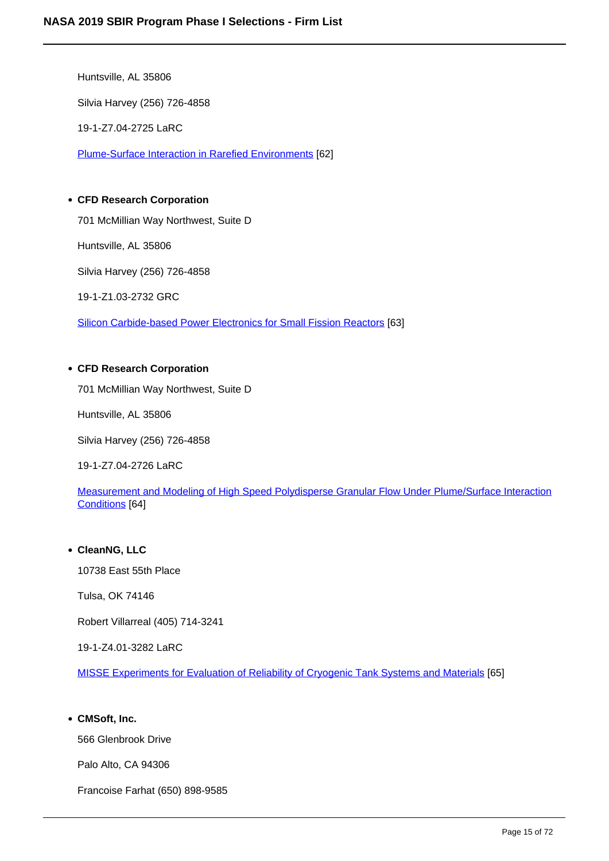Huntsville, AL 35806 Silvia Harvey (256) 726-4858 19-1-Z7.04-2725 LaRC Plume-Surface Interaction in Rarefied Environments [62]

#### **CFD Research Corporation**

701 McMillian Way Northwest, Suite D

Huntsville, AL 35806

Silvia Harvey (256) 726-4858

19-1-Z1.03-2732 GRC

Silicon Carbide-based Power Electronics for Small Fission Reactors [63]

#### **CFD Research Corporation**

701 McMillian Way Northwest, Suite D

Huntsville, AL 35806

Silvia Harvey (256) 726-4858

19-1-Z7.04-2726 LaRC

Measurement and Modeling of High Speed Polydisperse Granular Flow Under Plume/Surface Interaction Conditions [64]

#### **CleanNG, LLC**

10738 East 55th Place

Tulsa, OK 74146

Robert Villarreal (405) 714-3241

19-1-Z4.01-3282 LaRC

MISSE Experiments for Evaluation of Reliability of Cryogenic Tank Systems and Materials [65]

#### **CMSoft, Inc.**

566 Glenbrook Drive

Palo Alto, CA 94306

Francoise Farhat (650) 898-9585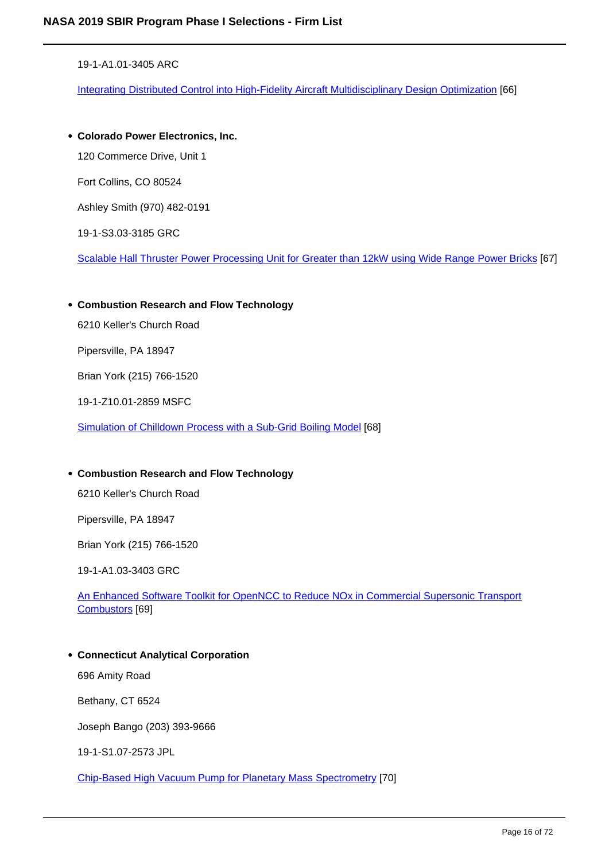19-1-A1.01-3405 ARC

Integrating Distributed Control into High-Fidelity Aircraft Multidisciplinary Design Optimization [66]

**Colorado Power Electronics, Inc.**

120 Commerce Drive, Unit 1

Fort Collins, CO 80524

Ashley Smith (970) 482-0191

19-1-S3.03-3185 GRC

Scalable Hall Thruster Power Processing Unit for Greater than 12kW using Wide Range Power Bricks [67]

**Combustion Research and Flow Technology**

6210 Keller's Church Road

Pipersville, PA 18947

Brian York (215) 766-1520

19-1-Z10.01-2859 MSFC

Simulation of Chilldown Process with a Sub-Grid Boiling Model [68]

#### **Combustion Research and Flow Technology**

6210 Keller's Church Road

Pipersville, PA 18947

Brian York (215) 766-1520

19-1-A1.03-3403 GRC

An Enhanced Software Toolkit for OpenNCC to Reduce NOx in Commercial Supersonic Transport Combustors [69]

#### **Connecticut Analytical Corporation**

696 Amity Road

Bethany, CT 6524

Joseph Bango (203) 393-9666

19-1-S1.07-2573 JPL

Chip-Based High Vacuum Pump for Planetary Mass Spectrometry [70]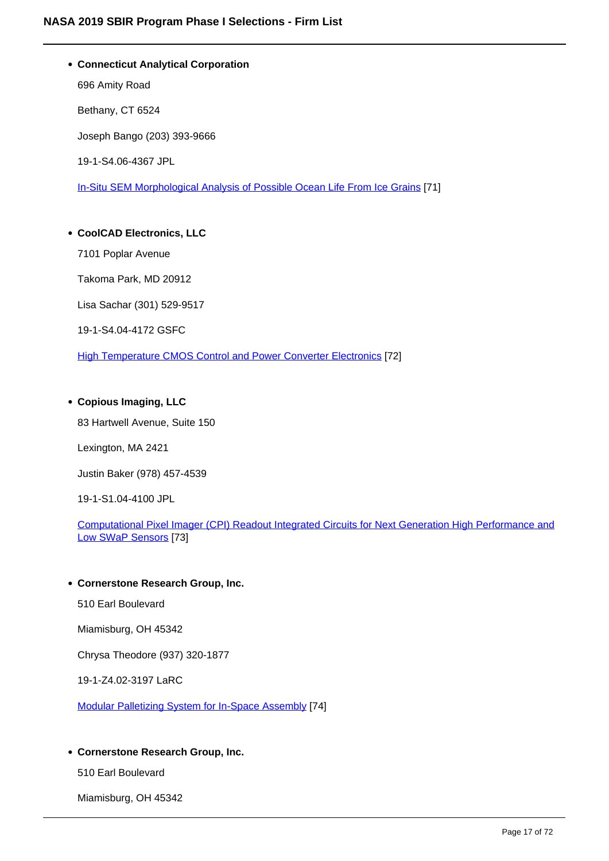**Connecticut Analytical Corporation** 696 Amity Road Bethany, CT 6524 Joseph Bango (203) 393-9666 19-1-S4.06-4367 JPL In-Situ SEM Morphological Analysis of Possible Ocean Life From Ice Grains [71]

## **CoolCAD Electronics, LLC**

7101 Poplar Avenue

Takoma Park, MD 20912

Lisa Sachar (301) 529-9517

19-1-S4.04-4172 GSFC

High Temperature CMOS Control and Power Converter Electronics [72]

#### **Copious Imaging, LLC**

83 Hartwell Avenue, Suite 150

Lexington, MA 2421

Justin Baker (978) 457-4539

19-1-S1.04-4100 JPL

Computational Pixel Imager (CPI) Readout Integrated Circuits for Next Generation High Performance and Low SWaP Sensors [73]

#### **Cornerstone Research Group, Inc.**

510 Earl Boulevard

Miamisburg, OH 45342

Chrysa Theodore (937) 320-1877

19-1-Z4.02-3197 LaRC

Modular Palletizing System for In-Space Assembly [74]

#### **Cornerstone Research Group, Inc.**

510 Earl Boulevard

Miamisburg, OH 45342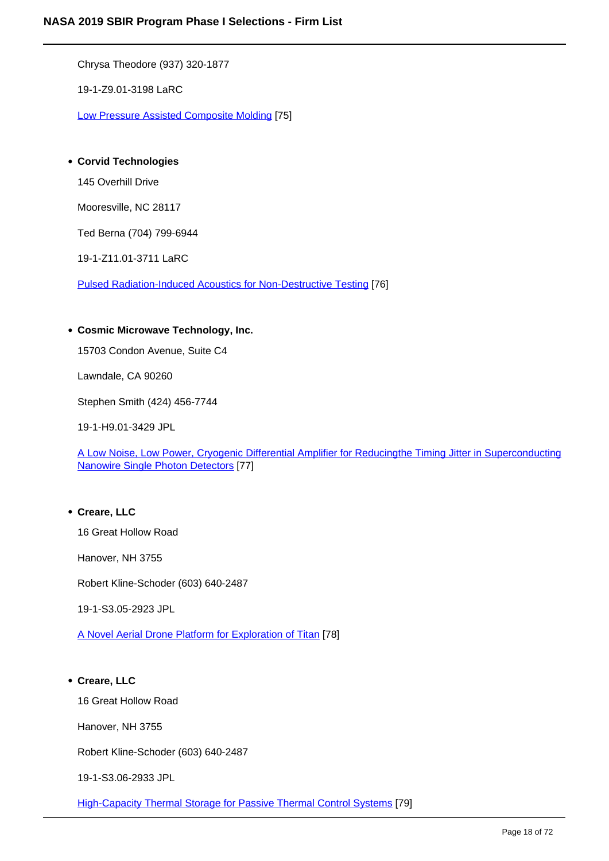Chrysa Theodore (937) 320-1877

19-1-Z9.01-3198 LaRC

Low Pressure Assisted Composite Molding [75]

#### **Corvid Technologies**

145 Overhill Drive

Mooresville, NC 28117

Ted Berna (704) 799-6944

19-1-Z11.01-3711 LaRC

Pulsed Radiation-Induced Acoustics for Non-Destructive Testing [76]

#### **Cosmic Microwave Technology, Inc.**

15703 Condon Avenue, Suite C4

Lawndale, CA 90260

Stephen Smith (424) 456-7744

19-1-H9.01-3429 JPL

A Low Noise, Low Power, Cryogenic Differential Amplifier for Reducingthe Timing Jitter in Superconducting Nanowire Single Photon Detectors [77]

#### **Creare, LLC**

16 Great Hollow Road

Hanover, NH 3755

Robert Kline-Schoder (603) 640-2487

19-1-S3.05-2923 JPL

A Novel Aerial Drone Platform for Exploration of Titan [78]

#### **Creare, LLC**

16 Great Hollow Road

Hanover, NH 3755

Robert Kline-Schoder (603) 640-2487

19-1-S3.06-2933 JPL

High-Capacity Thermal Storage for Passive Thermal Control Systems [79]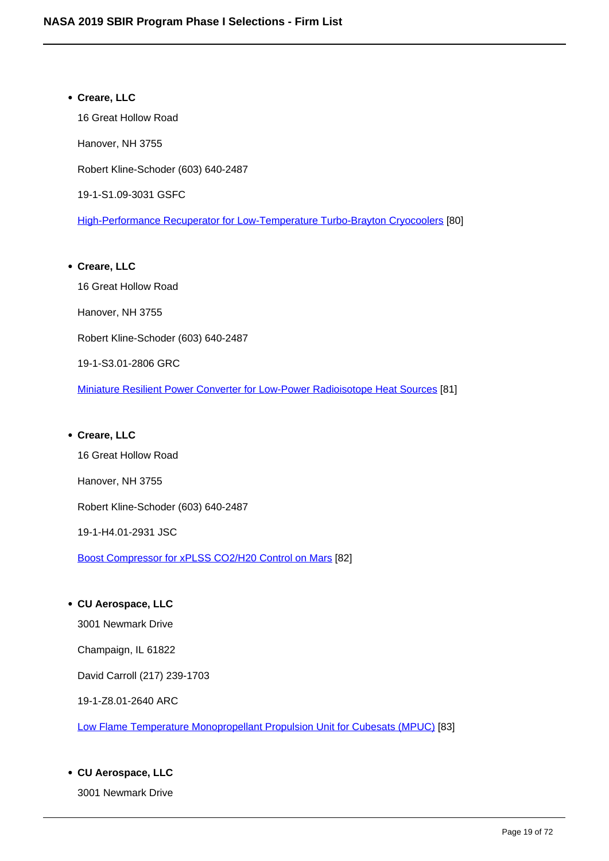# **Creare, LLC** 16 Great Hollow Road Hanover, NH 3755 Robert Kline-Schoder (603) 640-2487 19-1-S1.09-3031 GSFC High-Performance Recuperator for Low-Temperature Turbo-Brayton Cryocoolers [80] **Creare, LLC**

16 Great Hollow Road Hanover, NH 3755 Robert Kline-Schoder (603) 640-2487 19-1-S3.01-2806 GRC Miniature Resilient Power Converter for Low-Power Radioisotope Heat Sources [81]

#### **Creare, LLC**

16 Great Hollow Road

Hanover, NH 3755

Robert Kline-Schoder (603) 640-2487

19-1-H4.01-2931 JSC

Boost Compressor for xPLSS CO2/H20 Control on Mars [82]

#### **CU Aerospace, LLC**

3001 Newmark Drive

Champaign, IL 61822

David Carroll (217) 239-1703

19-1-Z8.01-2640 ARC

Low Flame Temperature Monopropellant Propulsion Unit for Cubesats (MPUC) [83]

#### **CU Aerospace, LLC**

3001 Newmark Drive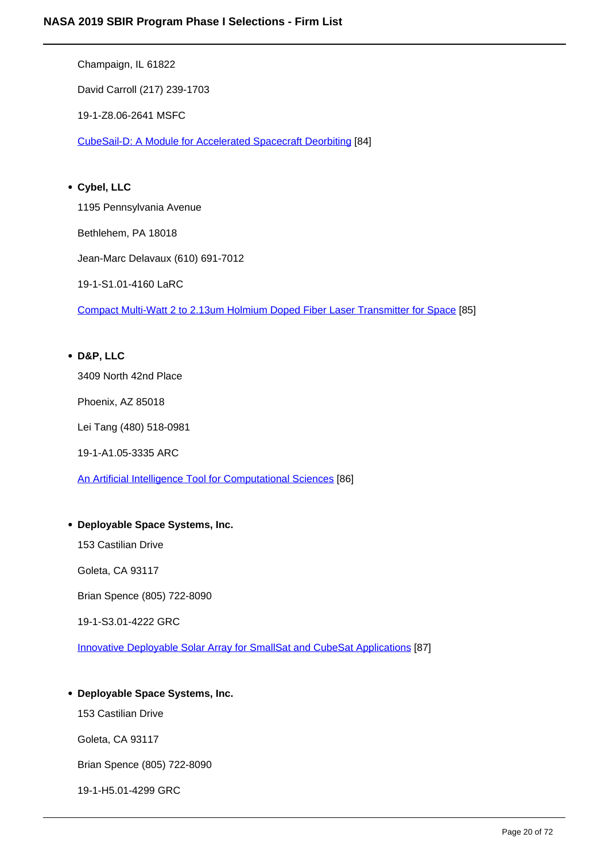Champaign, IL 61822

David Carroll (217) 239-1703

19-1-Z8.06-2641 MSFC

CubeSail-D: A Module for Accelerated Spacecraft Deorbiting [84]

#### **Cybel, LLC**

1195 Pennsylvania Avenue

Bethlehem, PA 18018

Jean-Marc Delavaux (610) 691-7012

19-1-S1.01-4160 LaRC

Compact Multi-Watt 2 to 2.13um Holmium Doped Fiber Laser Transmitter for Space [85]

### **D&P, LLC**

3409 North 42nd Place

Phoenix, AZ 85018

Lei Tang (480) 518-0981

19-1-A1.05-3335 ARC

An Artificial Intelligence Tool for Computational Sciences [86]

#### **Deployable Space Systems, Inc.**

153 Castilian Drive

Goleta, CA 93117

Brian Spence (805) 722-8090

19-1-S3.01-4222 GRC

Innovative Deployable Solar Array for SmallSat and CubeSat Applications [87]

#### **Deployable Space Systems, Inc.**

153 Castilian Drive

Goleta, CA 93117

Brian Spence (805) 722-8090

19-1-H5.01-4299 GRC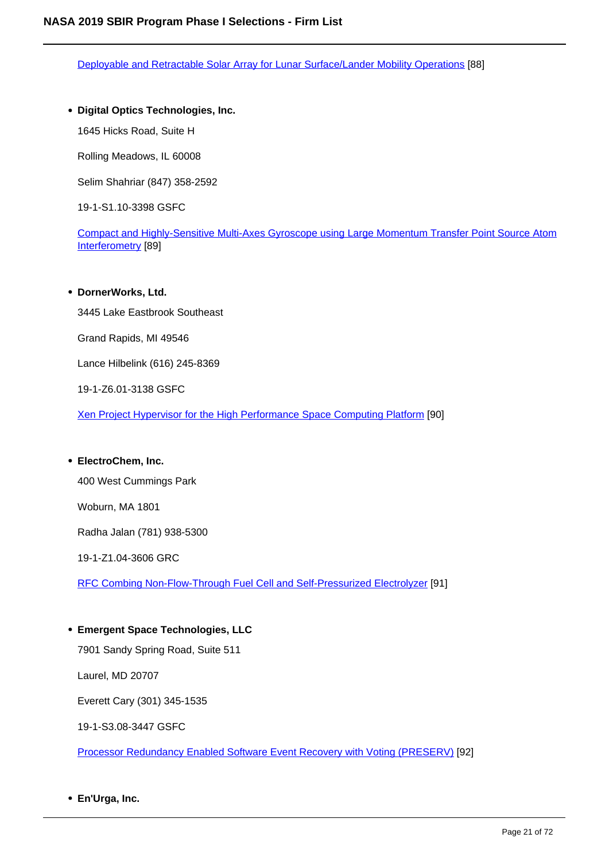Deployable and Retractable Solar Array for Lunar Surface/Lander Mobility Operations [88]

**Digital Optics Technologies, Inc.**

1645 Hicks Road, Suite H

Rolling Meadows, IL 60008

Selim Shahriar (847) 358-2592

19-1-S1.10-3398 GSFC

Compact and Highly-Sensitive Multi-Axes Gyroscope using Large Momentum Transfer Point Source Atom Interferometry [89]

#### **DornerWorks, Ltd.**

3445 Lake Eastbrook Southeast

Grand Rapids, MI 49546

Lance Hilbelink (616) 245-8369

19-1-Z6.01-3138 GSFC

Xen Project Hypervisor for the High Performance Space Computing Platform [90]

**ElectroChem, Inc.**

400 West Cummings Park

Woburn, MA 1801

Radha Jalan (781) 938-5300

19-1-Z1.04-3606 GRC

RFC Combing Non-Flow-Through Fuel Cell and Self-Pressurized Electrolyzer [91]

**Emergent Space Technologies, LLC**

7901 Sandy Spring Road, Suite 511

Laurel, MD 20707

Everett Cary (301) 345-1535

19-1-S3.08-3447 GSFC

Processor Redundancy Enabled Software Event Recovery with Voting (PRESERV) [92]

**En'Urga, Inc.**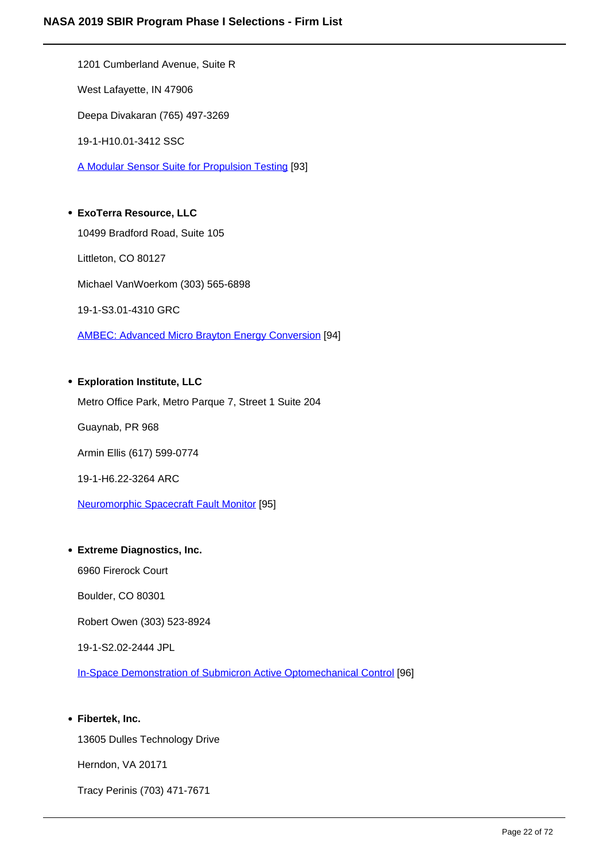1201 Cumberland Avenue, Suite R West Lafayette, IN 47906 Deepa Divakaran (765) 497-3269 19-1-H10.01-3412 SSC A Modular Sensor Suite for Propulsion Testing [93] **ExoTerra Resource, LLC** 10499 Bradford Road, Suite 105

Littleton, CO 80127 Michael VanWoerkom (303) 565-6898 19-1-S3.01-4310 GRC

AMBEC: Advanced Micro Brayton Energy Conversion [94]

#### **Exploration Institute, LLC**

Metro Office Park, Metro Parque 7, Street 1 Suite 204 Guaynab, PR 968 Armin Ellis (617) 599-0774 19-1-H6.22-3264 ARC Neuromorphic Spacecraft Fault Monitor [95]

#### **Extreme Diagnostics, Inc.**

6960 Firerock Court

Boulder, CO 80301

Robert Owen (303) 523-8924

19-1-S2.02-2444 JPL

In-Space Demonstration of Submicron Active Optomechanical Control [96]

#### **Fibertek, Inc.**

13605 Dulles Technology Drive Herndon, VA 20171 Tracy Perinis (703) 471-7671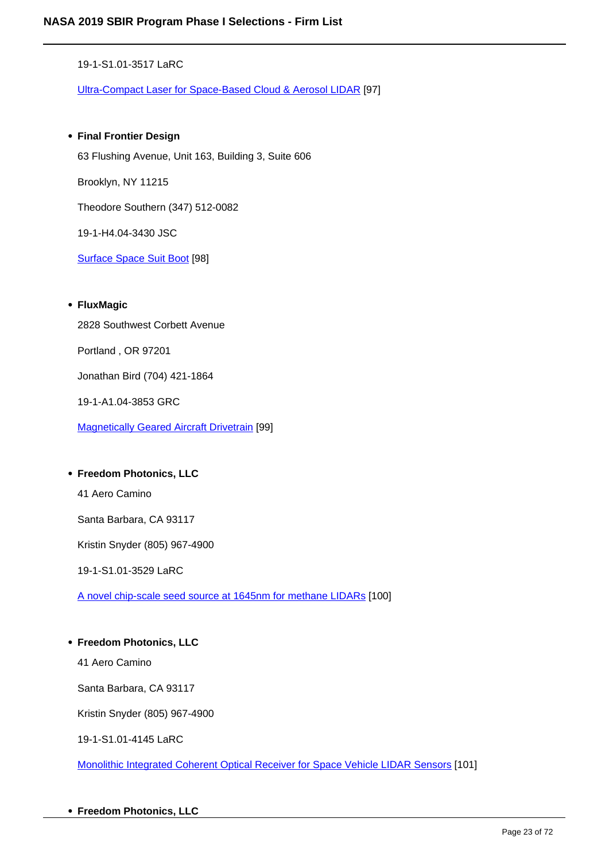19-1-S1.01-3517 LaRC

Ultra-Compact Laser for Space-Based Cloud & Aerosol LIDAR [97]

#### **Final Frontier Design**

63 Flushing Avenue, Unit 163, Building 3, Suite 606 Brooklyn, NY 11215 Theodore Southern (347) 512-0082 19-1-H4.04-3430 JSC Surface Space Suit Boot [98]

#### **FluxMagic**

2828 Southwest Corbett Avenue

Portland , OR 97201

Jonathan Bird (704) 421-1864

19-1-A1.04-3853 GRC

Magnetically Geared Aircraft Drivetrain [99]

#### **Freedom Photonics, LLC**

41 Aero Camino

Santa Barbara, CA 93117

Kristin Snyder (805) 967-4900

19-1-S1.01-3529 LaRC

A novel chip-scale seed source at 1645nm for methane LIDARs [100]

#### **Freedom Photonics, LLC**

41 Aero Camino

Santa Barbara, CA 93117

Kristin Snyder (805) 967-4900

19-1-S1.01-4145 LaRC

Monolithic Integrated Coherent Optical Receiver for Space Vehicle LIDAR Sensors [101]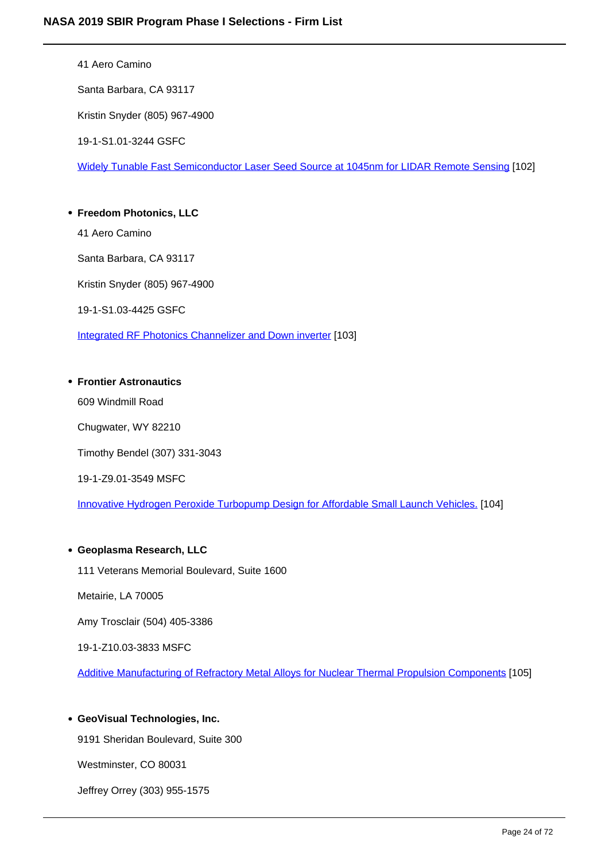41 Aero Camino

Santa Barbara, CA 93117

Kristin Snyder (805) 967-4900

19-1-S1.01-3244 GSFC

Widely Tunable Fast Semiconductor Laser Seed Source at 1045nm for LIDAR Remote Sensing [102]

#### **Freedom Photonics, LLC**

41 Aero Camino

Santa Barbara, CA 93117

Kristin Snyder (805) 967-4900

19-1-S1.03-4425 GSFC

Integrated RF Photonics Channelizer and Down inverter [103]

#### **Frontier Astronautics**

609 Windmill Road

Chugwater, WY 82210

Timothy Bendel (307) 331-3043

19-1-Z9.01-3549 MSFC

Innovative Hydrogen Peroxide Turbopump Design for Affordable Small Launch Vehicles. [104]

#### **Geoplasma Research, LLC**

111 Veterans Memorial Boulevard, Suite 1600

Metairie, LA 70005

Amy Trosclair (504) 405-3386

19-1-Z10.03-3833 MSFC

Additive Manufacturing of Refractory Metal Alloys for Nuclear Thermal Propulsion Components [105]

#### **GeoVisual Technologies, Inc.**

9191 Sheridan Boulevard, Suite 300

Westminster, CO 80031

Jeffrey Orrey (303) 955-1575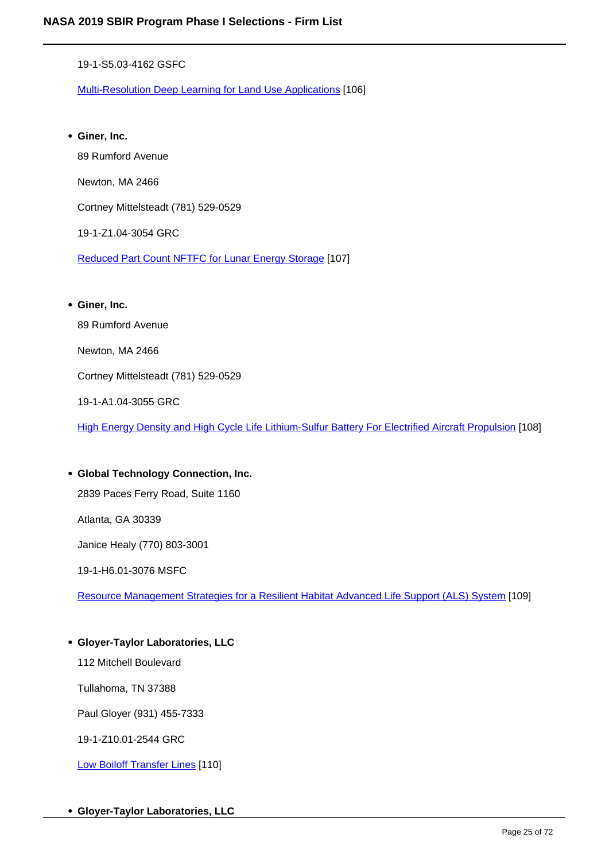19-1-S5.03-4162 GSFC

Multi-Resolution Deep Learning for Land Use Applications [106]

**Giner, Inc.** 89 Rumford Avenue Newton, MA 2466 Cortney Mittelsteadt (781) 529-0529 19-1-Z1.04-3054 GRC Reduced Part Count NFTFC for Lunar Energy Storage [107] **Giner, Inc.** 89 Rumford Avenue

Newton, MA 2466 Cortney Mittelsteadt (781) 529-0529

19-1-A1.04-3055 GRC

High Energy Density and High Cycle Life Lithium-Sulfur Battery For Electrified Aircraft Propulsion [108]

**Global Technology Connection, Inc.** 2839 Paces Ferry Road, Suite 1160 Atlanta, GA 30339 Janice Healy (770) 803-3001 19-1-H6.01-3076 MSFC

Resource Management Strategies for a Resilient Habitat Advanced Life Support (ALS) System [109]

#### **Gloyer-Taylor Laboratories, LLC**

112 Mitchell Boulevard

Tullahoma, TN 37388

Paul Gloyer (931) 455-7333

19-1-Z10.01-2544 GRC

Low Boiloff Transfer Lines [110]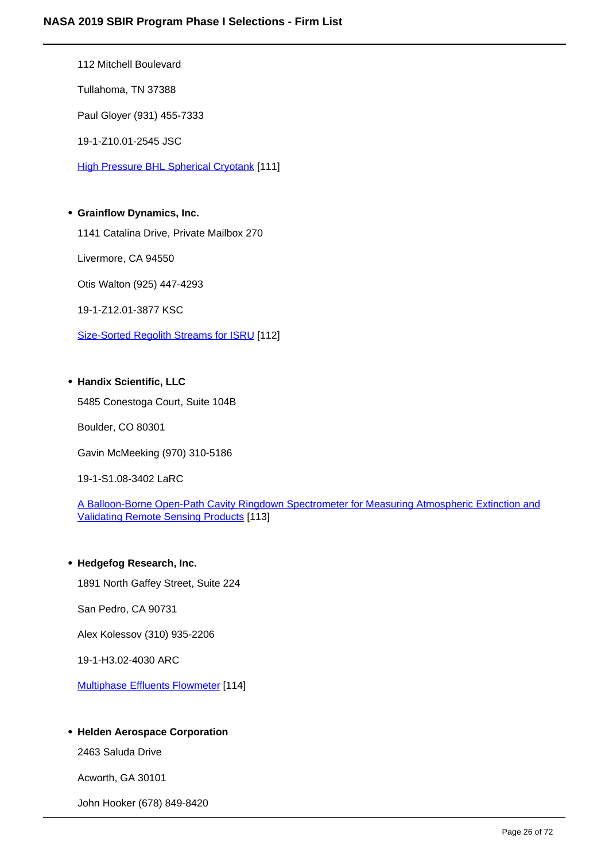112 Mitchell Boulevard

Tullahoma, TN 37388

Paul Gloyer (931) 455-7333

19-1-Z10.01-2545 JSC

**High Pressure BHL Spherical Cryotank [111]** 

#### **Grainflow Dynamics, Inc.**

1141 Catalina Drive, Private Mailbox 270

Livermore, CA 94550

Otis Walton (925) 447-4293

19-1-Z12.01-3877 KSC

Size-Sorted Regolith Streams for ISRU [112]

#### **Handix Scientific, LLC**

5485 Conestoga Court, Suite 104B

Boulder, CO 80301

Gavin McMeeking (970) 310-5186

19-1-S1.08-3402 LaRC

A Balloon-Borne Open-Path Cavity Ringdown Spectrometer for Measuring Atmospheric Extinction and Validating Remote Sensing Products [113]

#### **Hedgefog Research, Inc.**

1891 North Gaffey Street, Suite 224

San Pedro, CA 90731

Alex Kolessov (310) 935-2206

19-1-H3.02-4030 ARC

Multiphase Effluents Flowmeter [114]

#### **Helden Aerospace Corporation**

2463 Saluda Drive

Acworth, GA 30101

John Hooker (678) 849-8420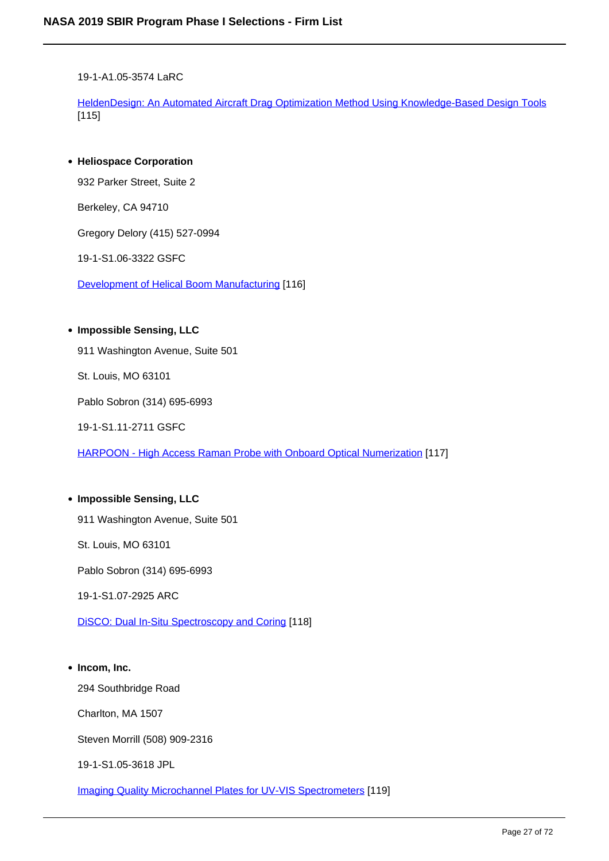19-1-A1.05-3574 LaRC

HeldenDesign: An Automated Aircraft Drag Optimization Method Using Knowledge-Based Design Tools [115]

**Heliospace Corporation**

932 Parker Street, Suite 2

Berkeley, CA 94710

Gregory Delory (415) 527-0994

19-1-S1.06-3322 GSFC

Development of Helical Boom Manufacturing [116]

**Impossible Sensing, LLC**

911 Washington Avenue, Suite 501

St. Louis, MO 63101

Pablo Sobron (314) 695-6993

19-1-S1.11-2711 GSFC

HARPOON - High Access Raman Probe with Onboard Optical Numerization [117]

## **Impossible Sensing, LLC** 911 Washington Avenue, Suite 501 St. Louis, MO 63101 Pablo Sobron (314) 695-6993 19-1-S1.07-2925 ARC

DiSCO: Dual In-Situ Spectroscopy and Coring [118]

**Incom, Inc.**

294 Southbridge Road

Charlton, MA 1507

Steven Morrill (508) 909-2316

19-1-S1.05-3618 JPL

Imaging Quality Microchannel Plates for UV-VIS Spectrometers [119]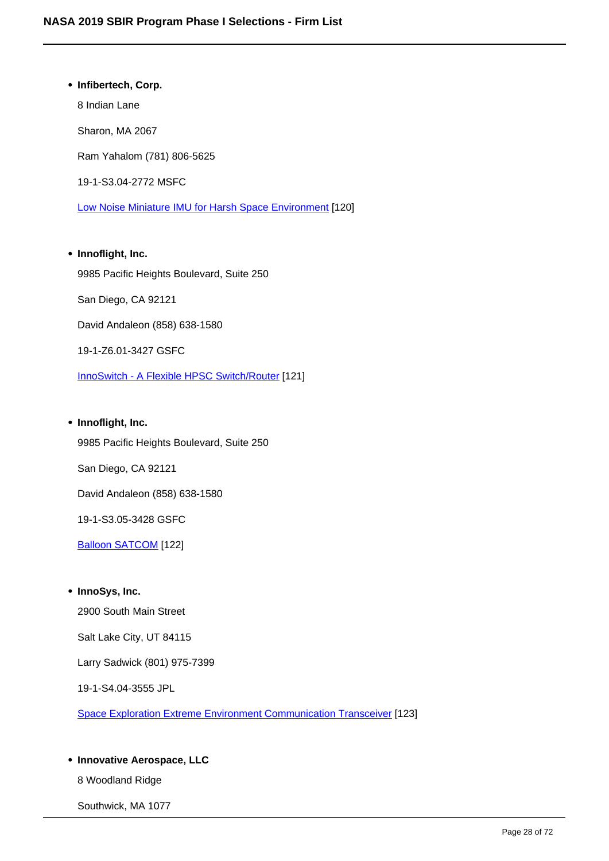**Infibertech, Corp.** 8 Indian Lane Sharon, MA 2067 Ram Yahalom (781) 806-5625 19-1-S3.04-2772 MSFC Low Noise Miniature IMU for Harsh Space Environment [120]

**Innoflight, Inc.** 9985 Pacific Heights Boulevard, Suite 250 San Diego, CA 92121 David Andaleon (858) 638-1580 19-1-Z6.01-3427 GSFC InnoSwitch - A Flexible HPSC Switch/Router [121]

**Innoflight, Inc.**

9985 Pacific Heights Boulevard, Suite 250

San Diego, CA 92121

David Andaleon (858) 638-1580

19-1-S3.05-3428 GSFC

Balloon SATCOM [122]

**InnoSys, Inc.**

2900 South Main Street

Salt Lake City, UT 84115

Larry Sadwick (801) 975-7399

19-1-S4.04-3555 JPL

Space Exploration Extreme Environment Communication Transceiver [123]

#### **Innovative Aerospace, LLC**

8 Woodland Ridge

Southwick, MA 1077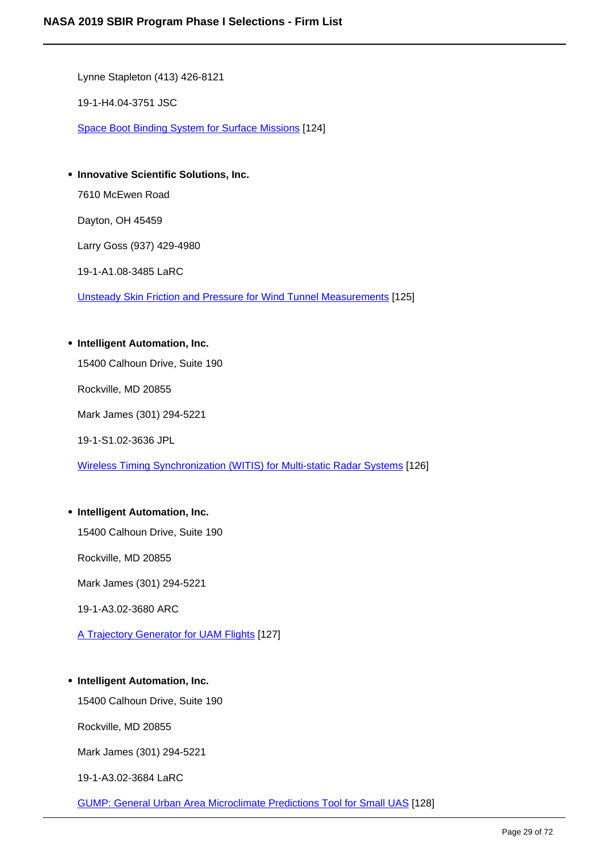Lynne Stapleton (413) 426-8121

19-1-H4.04-3751 JSC

Space Boot Binding System for Surface Missions [124]

**Innovative Scientific Solutions, Inc.** 7610 McEwen Road Dayton, OH 45459 Larry Goss (937) 429-4980 19-1-A1.08-3485 LaRC

Unsteady Skin Friction and Pressure for Wind Tunnel Measurements [125]

#### **Intelligent Automation, Inc.**

15400 Calhoun Drive, Suite 190

Rockville, MD 20855

Mark James (301) 294-5221

19-1-S1.02-3636 JPL

Wireless Timing Synchronization (WITIS) for Multi-static Radar Systems [126]

#### **Intelligent Automation, Inc.**

15400 Calhoun Drive, Suite 190

Rockville, MD 20855

Mark James (301) 294-5221

19-1-A3.02-3680 ARC

A Trajectory Generator for UAM Flights [127]

#### **Intelligent Automation, Inc.**

15400 Calhoun Drive, Suite 190

Rockville, MD 20855

Mark James (301) 294-5221

19-1-A3.02-3684 LaRC

GUMP: General Urban Area Microclimate Predictions Tool for Small UAS [128]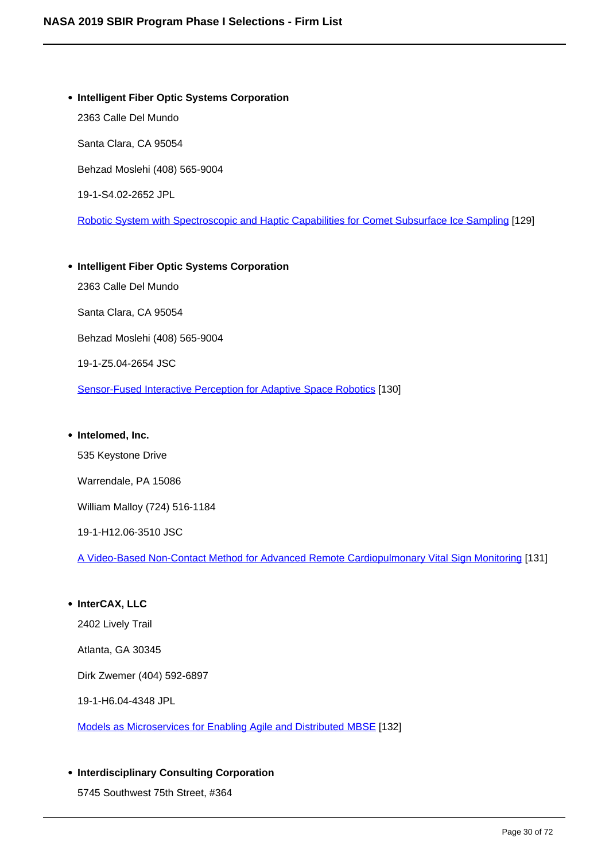- **Intelligent Fiber Optic Systems Corporation** 2363 Calle Del Mundo Santa Clara, CA 95054 Behzad Moslehi (408) 565-9004 19-1-S4.02-2652 JPL Robotic System with Spectroscopic and Haptic Capabilities for Comet Subsurface Ice Sampling [129]
- **Intelligent Fiber Optic Systems Corporation** 2363 Calle Del Mundo Santa Clara, CA 95054 Behzad Moslehi (408) 565-9004 19-1-Z5.04-2654 JSC Sensor-Fused Interactive Perception for Adaptive Space Robotics [130]
- **Intelomed, Inc.**

535 Keystone Drive Warrendale, PA 15086

William Malloy (724) 516-1184

19-1-H12.06-3510 JSC

A Video-Based Non-Contact Method for Advanced Remote Cardiopulmonary Vital Sign Monitoring [131]

- **InterCAX, LLC** 2402 Lively Trail Atlanta, GA 30345 Dirk Zwemer (404) 592-6897 19-1-H6.04-4348 JPL Models as Microservices for Enabling Agile and Distributed MBSE [132]
- **Interdisciplinary Consulting Corporation**

5745 Southwest 75th Street, #364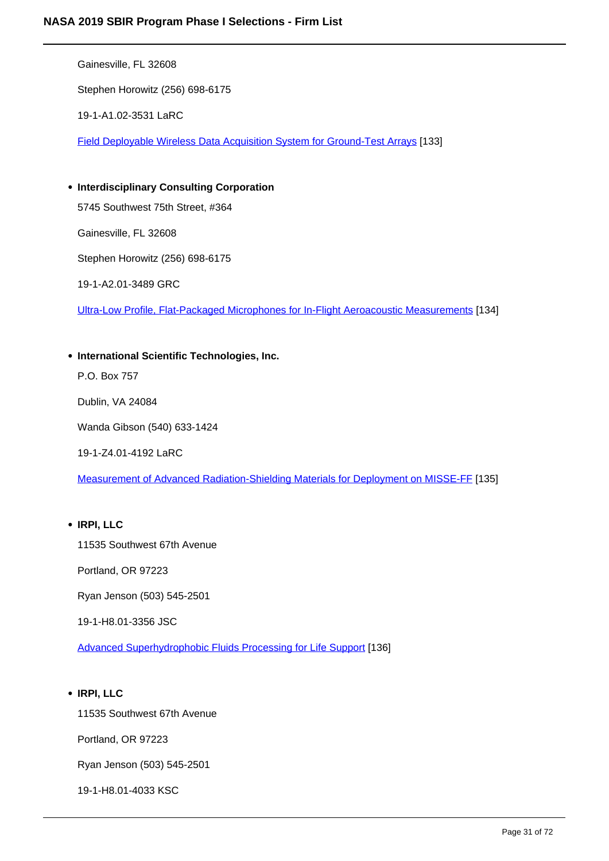Gainesville, FL 32608 Stephen Horowitz (256) 698-6175 19-1-A1.02-3531 LaRC

Field Deployable Wireless Data Acquisition System for Ground-Test Arrays [133]

**Interdisciplinary Consulting Corporation** 5745 Southwest 75th Street, #364 Gainesville, FL 32608

Stephen Horowitz (256) 698-6175

19-1-A2.01-3489 GRC

Ultra-Low Profile, Flat-Packaged Microphones for In-Flight Aeroacoustic Measurements [134]

**International Scientific Technologies, Inc.**

P.O. Box 757

Dublin, VA 24084

Wanda Gibson (540) 633-1424

19-1-Z4.01-4192 LaRC

Measurement of Advanced Radiation-Shielding Materials for Deployment on MISSE-FF [135]

#### **IRPI, LLC**

11535 Southwest 67th Avenue

Portland, OR 97223

Ryan Jenson (503) 545-2501

19-1-H8.01-3356 JSC

Advanced Superhydrophobic Fluids Processing for Life Support [136]

#### **IRPI, LLC**

11535 Southwest 67th Avenue

Portland, OR 97223

Ryan Jenson (503) 545-2501

19-1-H8.01-4033 KSC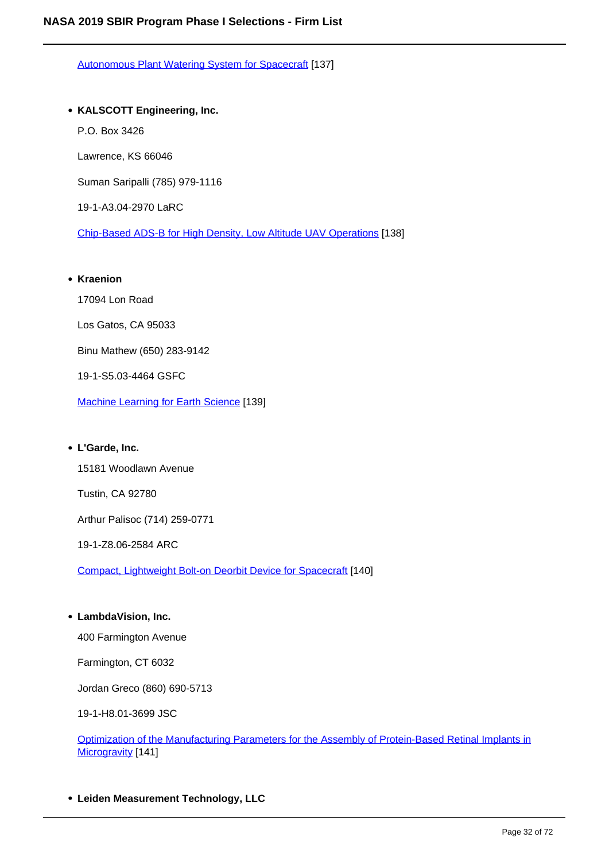Autonomous Plant Watering System for Spacecraft [137]

#### **KALSCOTT Engineering, Inc.**

- P.O. Box 3426
- Lawrence, KS 66046

Suman Saripalli (785) 979-1116

19-1-A3.04-2970 LaRC

Chip-Based ADS-B for High Density, Low Altitude UAV Operations [138]

#### **• Kraenion**

17094 Lon Road

Los Gatos, CA 95033

Binu Mathew (650) 283-9142

19-1-S5.03-4464 GSFC

Machine Learning for Earth Science [139]

#### **L'Garde, Inc.**

15181 Woodlawn Avenue

Tustin, CA 92780

Arthur Palisoc (714) 259-0771

19-1-Z8.06-2584 ARC

Compact, Lightweight Bolt-on Deorbit Device for Spacecraft [140]

#### **LambdaVision, Inc.**

400 Farmington Avenue

Farmington, CT 6032

Jordan Greco (860) 690-5713

19-1-H8.01-3699 JSC

Optimization of the Manufacturing Parameters for the Assembly of Protein-Based Retinal Implants in Microgravity [141]

**Leiden Measurement Technology, LLC**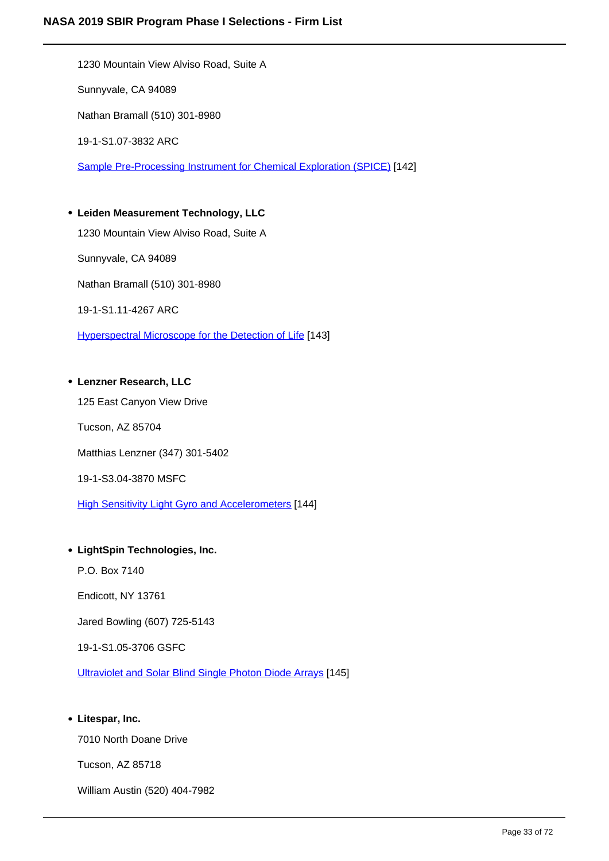1230 Mountain View Alviso Road, Suite A Sunnyvale, CA 94089 Nathan Bramall (510) 301-8980 19-1-S1.07-3832 ARC Sample Pre-Processing Instrument for Chemical Exploration (SPICE) [142] **Leiden Measurement Technology, LLC**

1230 Mountain View Alviso Road, Suite A Sunnyvale, CA 94089 Nathan Bramall (510) 301-8980 19-1-S1.11-4267 ARC Hyperspectral Microscope for the Detection of Life [143]

#### **Lenzner Research, LLC**

125 East Canyon View Drive Tucson, AZ 85704 Matthias Lenzner (347) 301-5402 19-1-S3.04-3870 MSFC **High Sensitivity Light Gyro and Accelerometers [144]** 

#### **LightSpin Technologies, Inc.**

P.O. Box 7140

Endicott, NY 13761

Jared Bowling (607) 725-5143

19-1-S1.05-3706 GSFC

Ultraviolet and Solar Blind Single Photon Diode Arrays [145]

#### **Litespar, Inc.**

7010 North Doane Drive

Tucson, AZ 85718

William Austin (520) 404-7982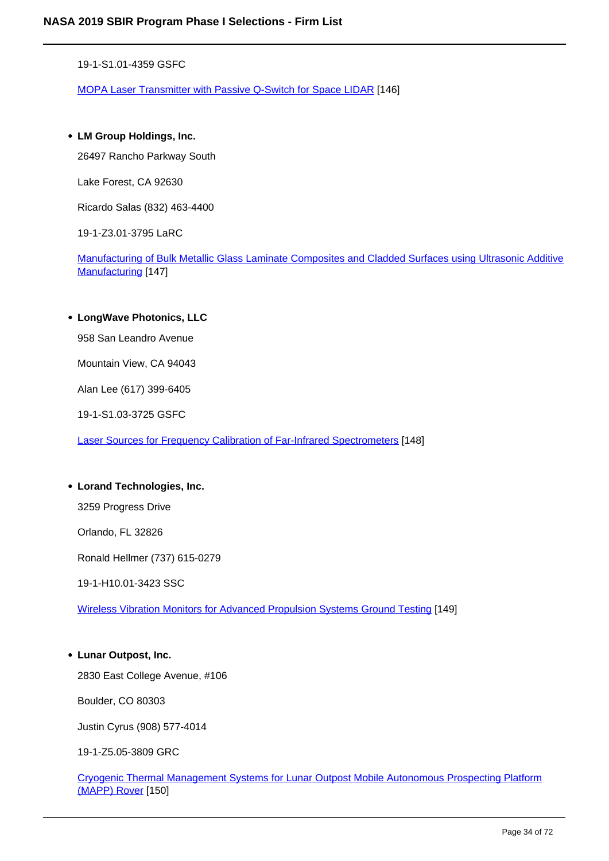19-1-S1.01-4359 GSFC

MOPA Laser Transmitter with Passive Q-Switch for Space LIDAR [146]

#### **LM Group Holdings, Inc.**

26497 Rancho Parkway South

Lake Forest, CA 92630

Ricardo Salas (832) 463-4400

19-1-Z3.01-3795 LaRC

Manufacturing of Bulk Metallic Glass Laminate Composites and Cladded Surfaces using Ultrasonic Additive Manufacturing [147]

#### **LongWave Photonics, LLC**

958 San Leandro Avenue

Mountain View, CA 94043

Alan Lee (617) 399-6405

19-1-S1.03-3725 GSFC

Laser Sources for Frequency Calibration of Far-Infrared Spectrometers [148]

#### **Lorand Technologies, Inc.**

3259 Progress Drive

Orlando, FL 32826

Ronald Hellmer (737) 615-0279

19-1-H10.01-3423 SSC

Wireless Vibration Monitors for Advanced Propulsion Systems Ground Testing [149]

#### **Lunar Outpost, Inc.**

2830 East College Avenue, #106

Boulder, CO 80303

Justin Cyrus (908) 577-4014

19-1-Z5.05-3809 GRC

Cryogenic Thermal Management Systems for Lunar Outpost Mobile Autonomous Prospecting Platform (MAPP) Rover [150]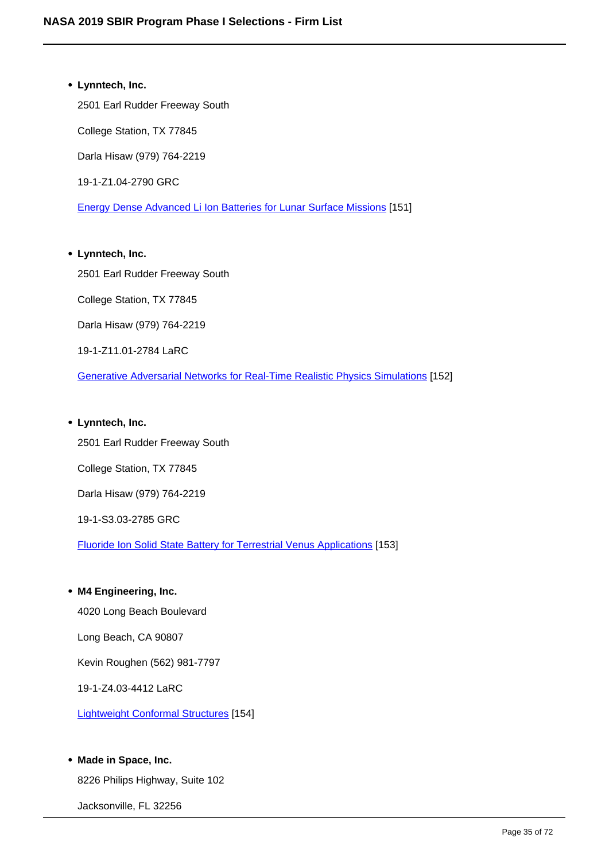**Lynntech, Inc.** 2501 Earl Rudder Freeway South College Station, TX 77845 Darla Hisaw (979) 764-2219 19-1-Z1.04-2790 GRC Energy Dense Advanced Li Ion Batteries for Lunar Surface Missions [151]

# **Lynntech, Inc.** 2501 Earl Rudder Freeway South College Station, TX 77845 Darla Hisaw (979) 764-2219 19-1-Z11.01-2784 LaRC Generative Adversarial Networks for Real-Time Realistic Physics Simulations [152]

#### **Lynntech, Inc.**

2501 Earl Rudder Freeway South College Station, TX 77845 Darla Hisaw (979) 764-2219 19-1-S3.03-2785 GRC Fluoride Ion Solid State Battery for Terrestrial Venus Applications [153]

#### **M4 Engineering, Inc.**

4020 Long Beach Boulevard

Long Beach, CA 90807

Kevin Roughen (562) 981-7797

19-1-Z4.03-4412 LaRC

Lightweight Conformal Structures [154]

#### **Made in Space, Inc.**

8226 Philips Highway, Suite 102

Jacksonville, FL 32256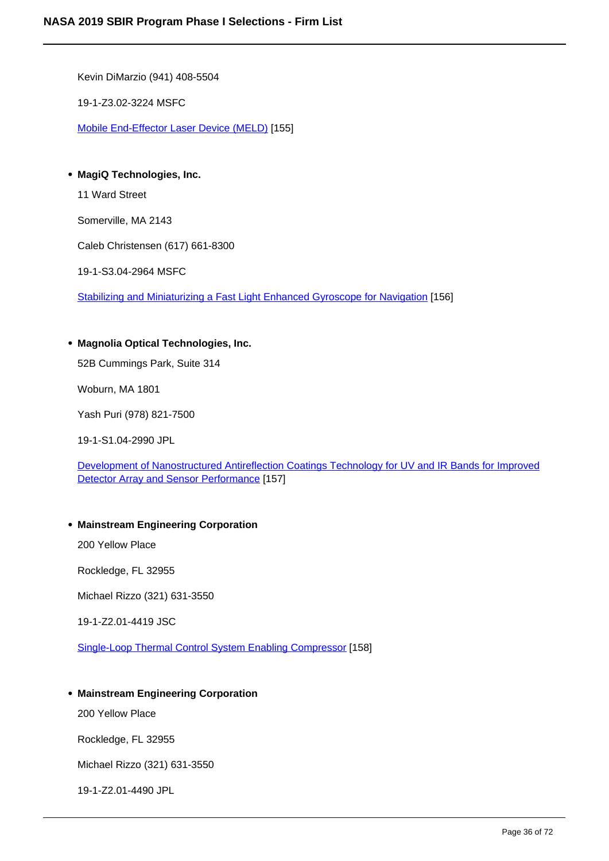Kevin DiMarzio (941) 408-5504

19-1-Z3.02-3224 MSFC

Mobile End-Effector Laser Device (MELD) [155]

**MagiQ Technologies, Inc.**

11 Ward Street

Somerville, MA 2143

Caleb Christensen (617) 661-8300

19-1-S3.04-2964 MSFC

Stabilizing and Miniaturizing a Fast Light Enhanced Gyroscope for Navigation [156]

#### **Magnolia Optical Technologies, Inc.**

52B Cummings Park, Suite 314

Woburn, MA 1801

Yash Puri (978) 821-7500

19-1-S1.04-2990 JPL

Development of Nanostructured Antireflection Coatings Technology for UV and IR Bands for Improved Detector Array and Sensor Performance [157]

#### **Mainstream Engineering Corporation**

200 Yellow Place

Rockledge, FL 32955

Michael Rizzo (321) 631-3550

19-1-Z2.01-4419 JSC

Single-Loop Thermal Control System Enabling Compressor [158]

#### **Mainstream Engineering Corporation**

200 Yellow Place

Rockledge, FL 32955

Michael Rizzo (321) 631-3550

19-1-Z2.01-4490 JPL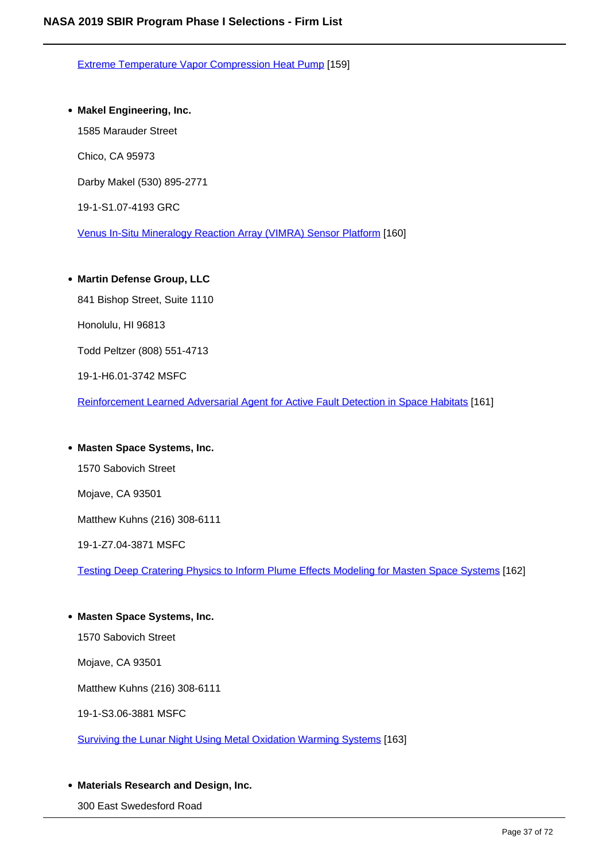Extreme Temperature Vapor Compression Heat Pump [159]

### **Makel Engineering, Inc.**

1585 Marauder Street

Chico, CA 95973

Darby Makel (530) 895-2771

19-1-S1.07-4193 GRC

Venus In-Situ Mineralogy Reaction Array (VIMRA) Sensor Platform [160]

# **Martin Defense Group, LLC**

841 Bishop Street, Suite 1110

Honolulu, HI 96813

Todd Peltzer (808) 551-4713

19-1-H6.01-3742 MSFC

Reinforcement Learned Adversarial Agent for Active Fault Detection in Space Habitats [161]

# **Masten Space Systems, Inc.**

1570 Sabovich Street

Mojave, CA 93501

Matthew Kuhns (216) 308-6111

19-1-Z7.04-3871 MSFC

Testing Deep Cratering Physics to Inform Plume Effects Modeling for Masten Space Systems [162]

# **Masten Space Systems, Inc.**

1570 Sabovich Street

Mojave, CA 93501

Matthew Kuhns (216) 308-6111

19-1-S3.06-3881 MSFC

Surviving the Lunar Night Using Metal Oxidation Warming Systems [163]

# **Materials Research and Design, Inc.**

300 East Swedesford Road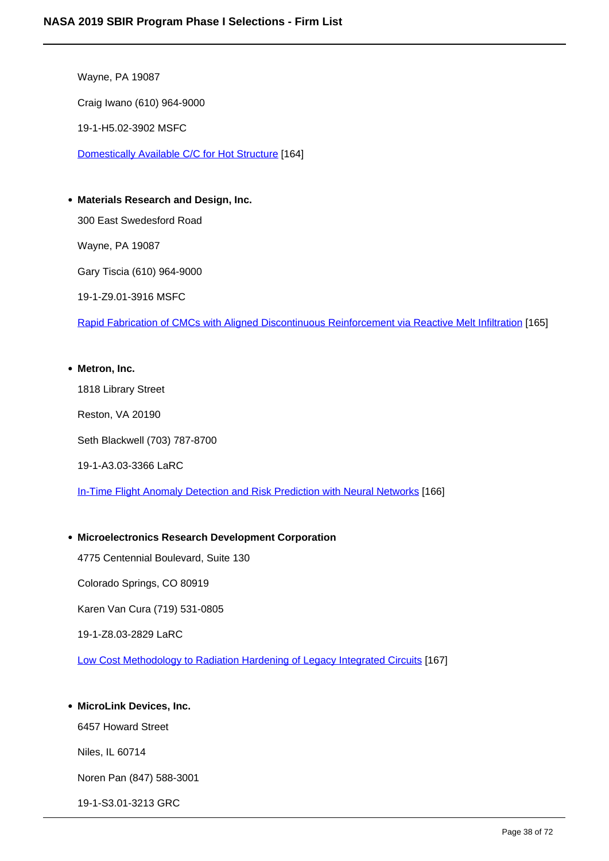Wayne, PA 19087 Craig Iwano (610) 964-9000 19-1-H5.02-3902 MSFC Domestically Available C/C for Hot Structure [164]

**Materials Research and Design, Inc.** 300 East Swedesford Road Wayne, PA 19087 Gary Tiscia (610) 964-9000

19-1-Z9.01-3916 MSFC

Rapid Fabrication of CMCs with Aligned Discontinuous Reinforcement via Reactive Melt Infiltration [165]

#### **Metron, Inc.**

1818 Library Street

Reston, VA 20190

Seth Blackwell (703) 787-8700

19-1-A3.03-3366 LaRC

In-Time Flight Anomaly Detection and Risk Prediction with Neural Networks [166]

# **Microelectronics Research Development Corporation**

4775 Centennial Boulevard, Suite 130

Colorado Springs, CO 80919

Karen Van Cura (719) 531-0805

19-1-Z8.03-2829 LaRC

Low Cost Methodology to Radiation Hardening of Legacy Integrated Circuits [167]

# **MicroLink Devices, Inc.**

6457 Howard Street

Niles, IL 60714

Noren Pan (847) 588-3001

19-1-S3.01-3213 GRC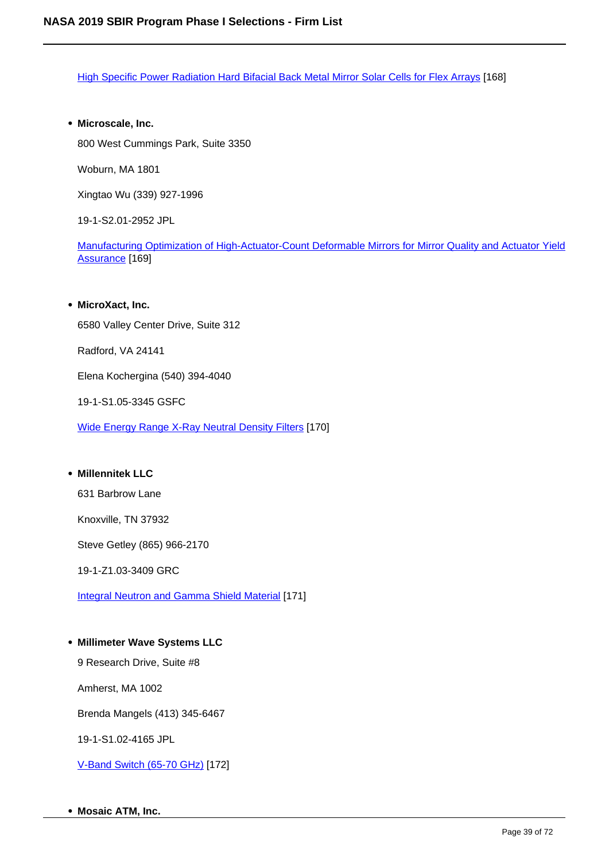High Specific Power Radiation Hard Bifacial Back Metal Mirror Solar Cells for Flex Arrays [168]

**Microscale, Inc.**

800 West Cummings Park, Suite 3350

Woburn, MA 1801

Xingtao Wu (339) 927-1996

19-1-S2.01-2952 JPL

Manufacturing Optimization of High-Actuator-Count Deformable Mirrors for Mirror Quality and Actuator Yield Assurance [169]

#### **MicroXact, Inc.**

6580 Valley Center Drive, Suite 312

Radford, VA 24141

Elena Kochergina (540) 394-4040

19-1-S1.05-3345 GSFC

Wide Energy Range X-Ray Neutral Density Filters [170]

# **Millennitek LLC**

631 Barbrow Lane

Knoxville, TN 37932

Steve Getley (865) 966-2170

19-1-Z1.03-3409 GRC

Integral Neutron and Gamma Shield Material [171]

# **Millimeter Wave Systems LLC**

9 Research Drive, Suite #8

Amherst, MA 1002

Brenda Mangels (413) 345-6467

19-1-S1.02-4165 JPL

V-Band Switch (65-70 GHz) [172]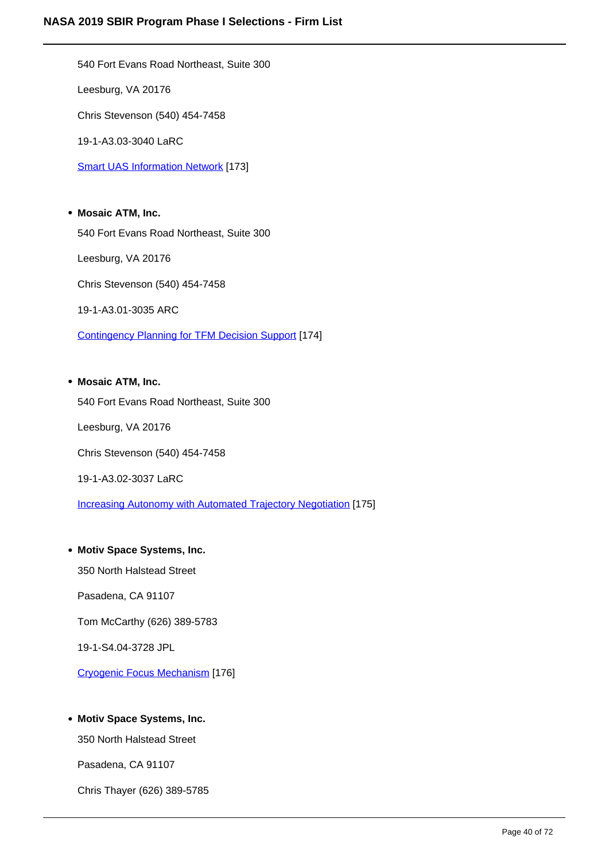540 Fort Evans Road Northeast, Suite 300 Leesburg, VA 20176 Chris Stevenson (540) 454-7458 19-1-A3.03-3040 LaRC **Smart UAS Information Network [173]** 

**Mosaic ATM, Inc.** 540 Fort Evans Road Northeast, Suite 300 Leesburg, VA 20176 Chris Stevenson (540) 454-7458 19-1-A3.01-3035 ARC Contingency Planning for TFM Decision Support [174]

# **Mosaic ATM, Inc.**

540 Fort Evans Road Northeast, Suite 300 Leesburg, VA 20176 Chris Stevenson (540) 454-7458 19-1-A3.02-3037 LaRC

Increasing Autonomy with Automated Trajectory Negotiation [175]

# **Motiv Space Systems, Inc.**

350 North Halstead Street Pasadena, CA 91107

Tom McCarthy (626) 389-5783

19-1-S4.04-3728 JPL

Cryogenic Focus Mechanism [176]

# **Motiv Space Systems, Inc.**

350 North Halstead Street

Pasadena, CA 91107

Chris Thayer (626) 389-5785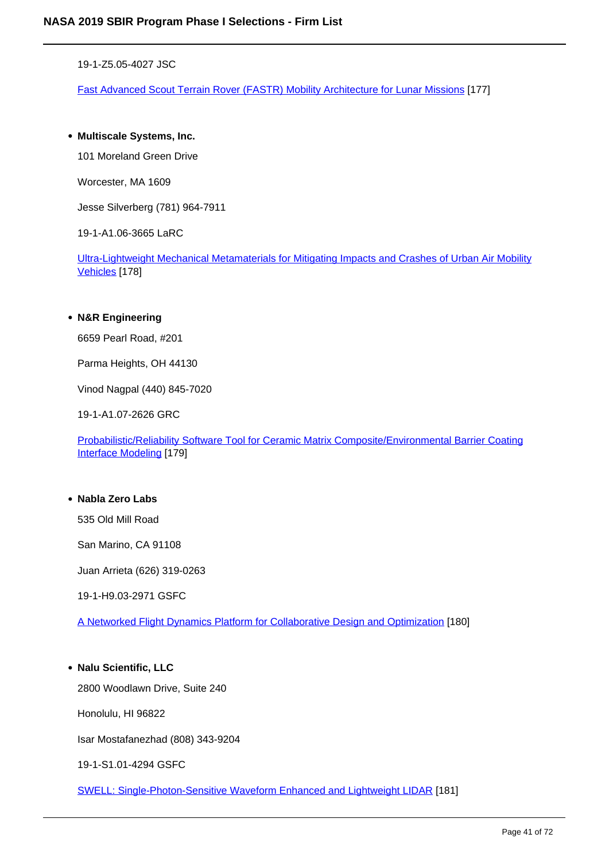19-1-Z5.05-4027 JSC

Fast Advanced Scout Terrain Rover (FASTR) Mobility Architecture for Lunar Missions [177]

### **Multiscale Systems, Inc.**

101 Moreland Green Drive

Worcester, MA 1609

Jesse Silverberg (781) 964-7911

19-1-A1.06-3665 LaRC

Ultra-Lightweight Mechanical Metamaterials for Mitigating Impacts and Crashes of Urban Air Mobility Vehicles [178]

#### **N&R Engineering**

6659 Pearl Road, #201

Parma Heights, OH 44130

Vinod Nagpal (440) 845-7020

19-1-A1.07-2626 GRC

Probabilistic/Reliability Software Tool for Ceramic Matrix Composite/Environmental Barrier Coating Interface Modeling [179]

# **Nabla Zero Labs**

535 Old Mill Road

San Marino, CA 91108

Juan Arrieta (626) 319-0263

19-1-H9.03-2971 GSFC

A Networked Flight Dynamics Platform for Collaborative Design and Optimization [180]

#### **Nalu Scientific, LLC**

2800 Woodlawn Drive, Suite 240

Honolulu, HI 96822

Isar Mostafanezhad (808) 343-9204

19-1-S1.01-4294 GSFC

SWELL: Single-Photon-Sensitive Waveform Enhanced and Lightweight LIDAR [181]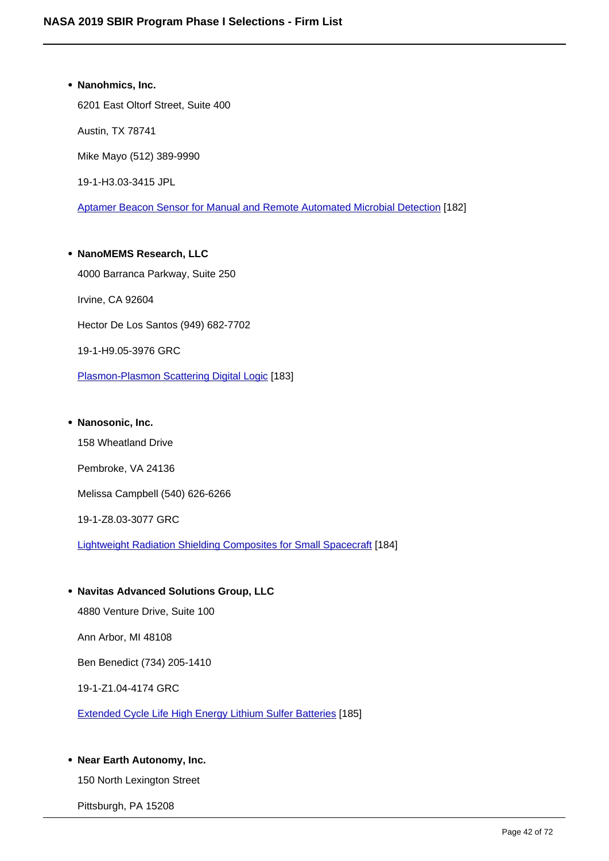**Nanohmics, Inc.** 6201 East Oltorf Street, Suite 400 Austin, TX 78741 Mike Mayo (512) 389-9990 19-1-H3.03-3415 JPL Aptamer Beacon Sensor for Manual and Remote Automated Microbial Detection [182]

**NanoMEMS Research, LLC** 4000 Barranca Parkway, Suite 250 Irvine, CA 92604 Hector De Los Santos (949) 682-7702 19-1-H9.05-3976 GRC Plasmon-Plasmon Scattering Digital Logic [183]

# **Nanosonic, Inc.** 158 Wheatland Drive Pembroke, VA 24136 Melissa Campbell (540) 626-6266 19-1-Z8.03-3077 GRC Lightweight Radiation Shielding Composites for Small Spacecraft [184]

- **Navitas Advanced Solutions Group, LLC** 4880 Venture Drive, Suite 100 Ann Arbor, MI 48108 Ben Benedict (734) 205-1410 19-1-Z1.04-4174 GRC Extended Cycle Life High Energy Lithium Sulfer Batteries [185]
- **Near Earth Autonomy, Inc.**

150 North Lexington Street

Pittsburgh, PA 15208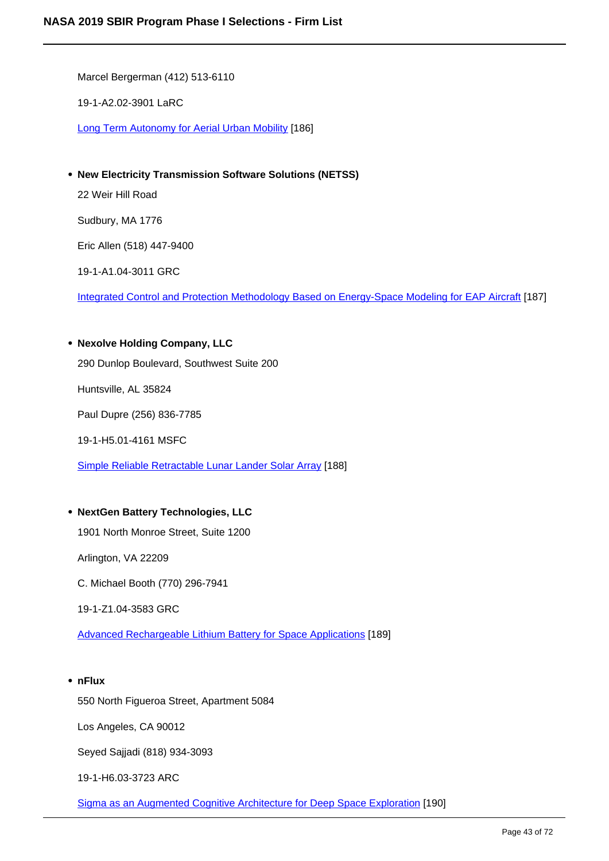Marcel Bergerman (412) 513-6110

19-1-A2.02-3901 LaRC

Long Term Autonomy for Aerial Urban Mobility [186]

**New Electricity Transmission Software Solutions (NETSS)**

22 Weir Hill Road

Sudbury, MA 1776

Eric Allen (518) 447-9400

19-1-A1.04-3011 GRC

Integrated Control and Protection Methodology Based on Energy-Space Modeling for EAP Aircraft [187]

#### **Nexolve Holding Company, LLC**

290 Dunlop Boulevard, Southwest Suite 200

Huntsville, AL 35824

Paul Dupre (256) 836-7785

19-1-H5.01-4161 MSFC

Simple Reliable Retractable Lunar Lander Solar Array [188]

# **NextGen Battery Technologies, LLC**

1901 North Monroe Street, Suite 1200

Arlington, VA 22209

C. Michael Booth (770) 296-7941

19-1-Z1.04-3583 GRC

Advanced Rechargeable Lithium Battery for Space Applications [189]

#### **nFlux**

550 North Figueroa Street, Apartment 5084

Los Angeles, CA 90012

Seyed Sajjadi (818) 934-3093

19-1-H6.03-3723 ARC

Sigma as an Augmented Cognitive Architecture for Deep Space Exploration [190]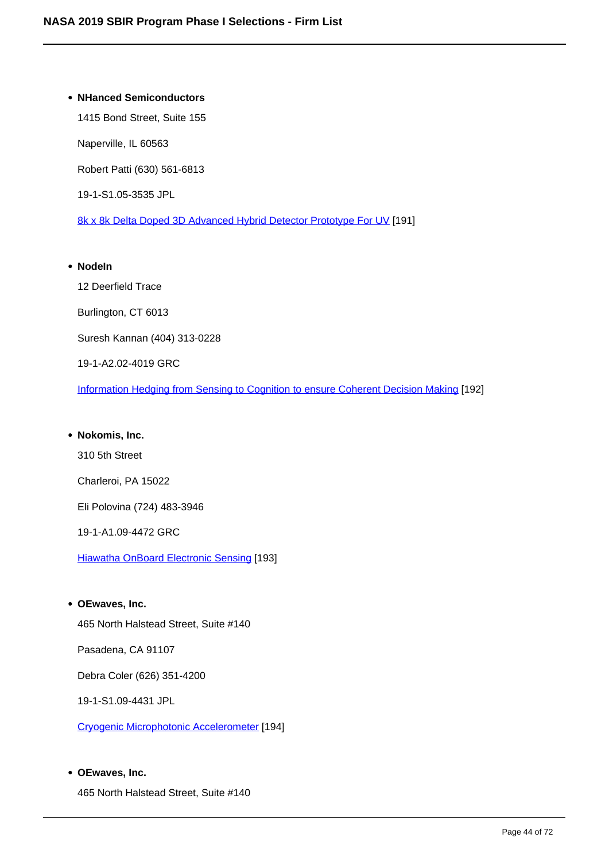# **NHanced Semiconductors** 1415 Bond Street, Suite 155 Naperville, IL 60563 Robert Patti (630) 561-6813 19-1-S1.05-3535 JPL 8k x 8k Delta Doped 3D Advanced Hybrid Detector Prototype For UV [191] **NodeIn**

12 Deerfield Trace Burlington, CT 6013 Suresh Kannan (404) 313-0228 19-1-A2.02-4019 GRC Information Hedging from Sensing to Cognition to ensure Coherent Decision Making [192]

# **Nokomis, Inc.**

310 5th Street

Charleroi, PA 15022

Eli Polovina (724) 483-3946

19-1-A1.09-4472 GRC

Hiawatha OnBoard Electronic Sensing [193]

# **OEwaves, Inc.**

465 North Halstead Street, Suite #140

Pasadena, CA 91107

Debra Coler (626) 351-4200

19-1-S1.09-4431 JPL

Cryogenic Microphotonic Accelerometer [194]

# **OEwaves, Inc.**

465 North Halstead Street, Suite #140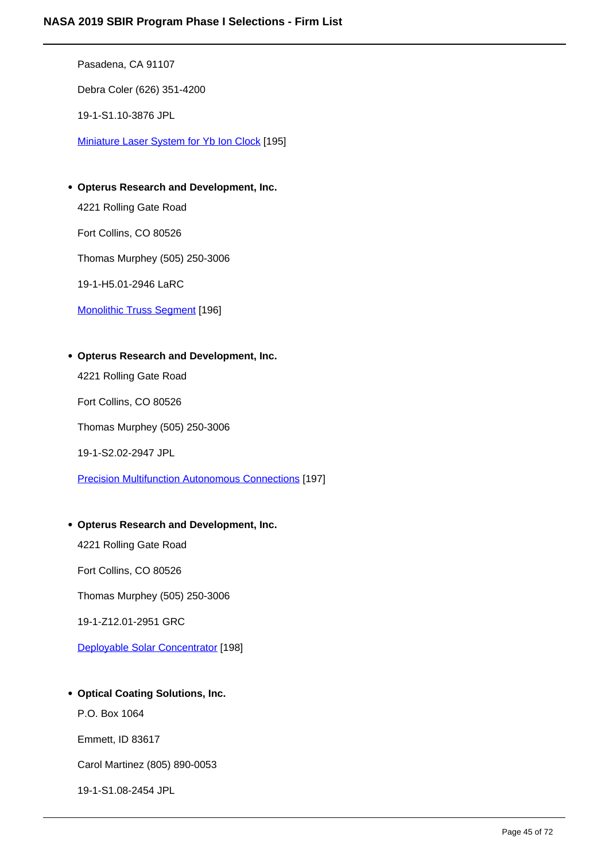Pasadena, CA 91107 Debra Coler (626) 351-4200 19-1-S1.10-3876 JPL Miniature Laser System for Yb Ion Clock [195]

**Opterus Research and Development, Inc.**

4221 Rolling Gate Road

Fort Collins, CO 80526

Thomas Murphey (505) 250-3006

19-1-H5.01-2946 LaRC

Monolithic Truss Segment [196]

**Opterus Research and Development, Inc.**

4221 Rolling Gate Road

Fort Collins, CO 80526

Thomas Murphey (505) 250-3006

19-1-S2.02-2947 JPL

Precision Multifunction Autonomous Connections [197]

# **Opterus Research and Development, Inc.**

4221 Rolling Gate Road

Fort Collins, CO 80526

Thomas Murphey (505) 250-3006

19-1-Z12.01-2951 GRC

Deployable Solar Concentrator [198]

# **Optical Coating Solutions, Inc.**

P.O. Box 1064

Emmett, ID 83617

Carol Martinez (805) 890-0053

19-1-S1.08-2454 JPL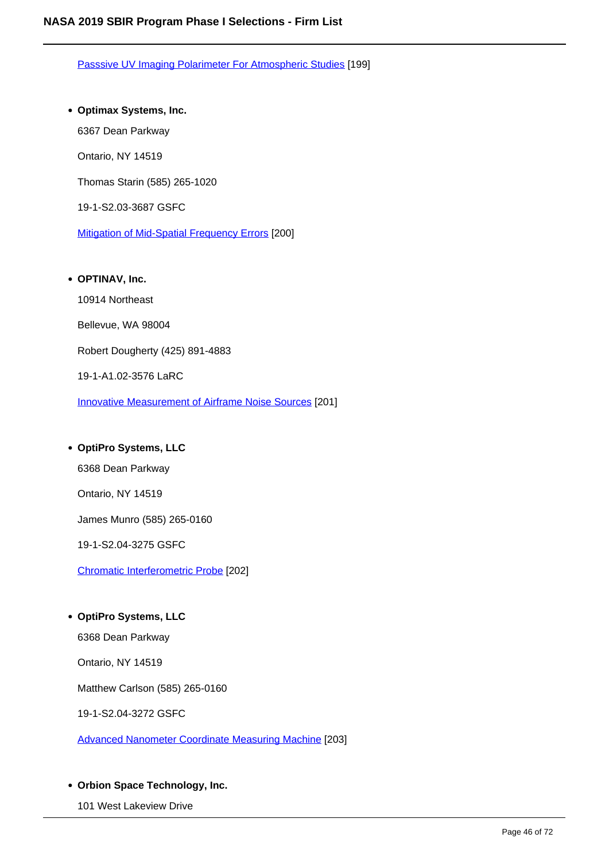Passsive UV Imaging Polarimeter For Atmospheric Studies [199]

# **Optimax Systems, Inc.**

6367 Dean Parkway

Ontario, NY 14519

Thomas Starin (585) 265-1020

19-1-S2.03-3687 GSFC

Mitigation of Mid-Spatial Frequency Errors [200]

# **OPTINAV, Inc.**

10914 Northeast

Bellevue, WA 98004

Robert Dougherty (425) 891-4883

19-1-A1.02-3576 LaRC

Innovative Measurement of Airframe Noise Sources [201]

# **OptiPro Systems, LLC**

6368 Dean Parkway

Ontario, NY 14519

James Munro (585) 265-0160

19-1-S2.04-3275 GSFC

Chromatic Interferometric Probe [202]

#### **OptiPro Systems, LLC**

6368 Dean Parkway

Ontario, NY 14519

Matthew Carlson (585) 265-0160

19-1-S2.04-3272 GSFC

Advanced Nanometer Coordinate Measuring Machine [203]

# **Orbion Space Technology, Inc.**

101 West Lakeview Drive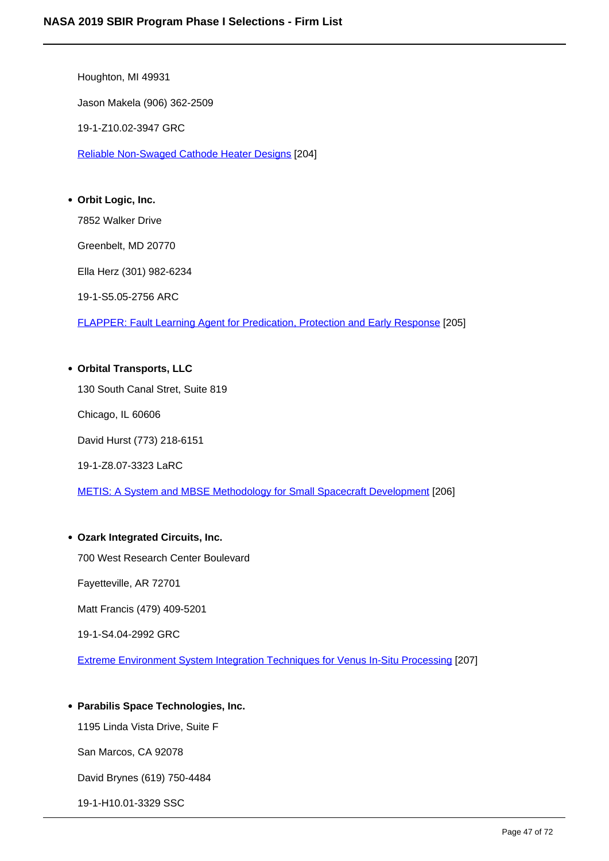Houghton, MI 49931 Jason Makela (906) 362-2509 19-1-Z10.02-3947 GRC Reliable Non-Swaged Cathode Heater Designs [204]

# **Orbit Logic, Inc.**

7852 Walker Drive

Greenbelt, MD 20770

Ella Herz (301) 982-6234

19-1-S5.05-2756 ARC

FLAPPER: Fault Learning Agent for Predication, Protection and Early Response [205]

**Orbital Transports, LLC** 130 South Canal Stret, Suite 819 Chicago, IL 60606 David Hurst (773) 218-6151 19-1-Z8.07-3323 LaRC

METIS: A System and MBSE Methodology for Small Spacecraft Development [206]

# **Ozark Integrated Circuits, Inc.**

700 West Research Center Boulevard

Fayetteville, AR 72701

Matt Francis (479) 409-5201

19-1-S4.04-2992 GRC

Extreme Environment System Integration Techniques for Venus In-Situ Processing [207]

# **Parabilis Space Technologies, Inc.**

1195 Linda Vista Drive, Suite F

San Marcos, CA 92078

David Brynes (619) 750-4484

19-1-H10.01-3329 SSC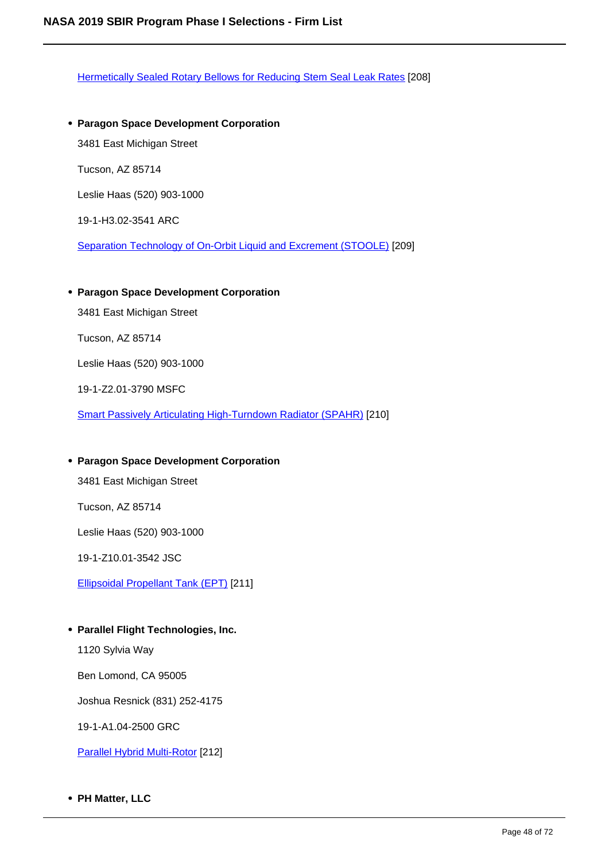Hermetically Sealed Rotary Bellows for Reducing Stem Seal Leak Rates [208]

- **Paragon Space Development Corporation** 3481 East Michigan Street Tucson, AZ 85714 Leslie Haas (520) 903-1000 19-1-H3.02-3541 ARC Separation Technology of On-Orbit Liquid and Excrement (STOOLE) [209]
- **Paragon Space Development Corporation**

3481 East Michigan Street

Tucson, AZ 85714

Leslie Haas (520) 903-1000

19-1-Z2.01-3790 MSFC

Smart Passively Articulating High-Turndown Radiator (SPAHR) [210]

# **Paragon Space Development Corporation**

3481 East Michigan Street

Tucson, AZ 85714

Leslie Haas (520) 903-1000

19-1-Z10.01-3542 JSC

Ellipsoidal Propellant Tank (EPT) [211]

**Parallel Flight Technologies, Inc.**

1120 Sylvia Way

Ben Lomond, CA 95005

Joshua Resnick (831) 252-4175

19-1-A1.04-2500 GRC

Parallel Hybrid Multi-Rotor [212]

**PH Matter, LLC**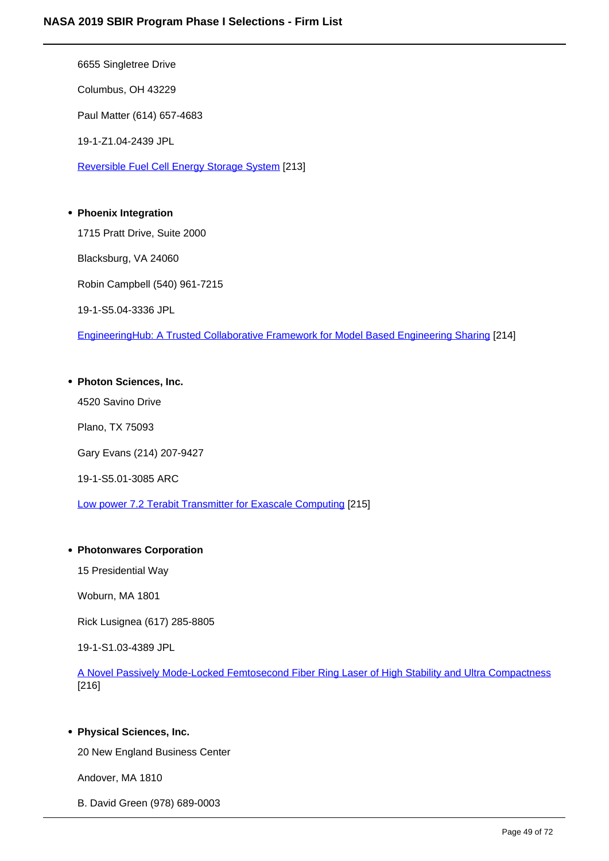6655 Singletree Drive

Columbus, OH 43229

Paul Matter (614) 657-4683

19-1-Z1.04-2439 JPL

Reversible Fuel Cell Energy Storage System [213]

# **Phoenix Integration**

1715 Pratt Drive, Suite 2000

Blacksburg, VA 24060

Robin Campbell (540) 961-7215

19-1-S5.04-3336 JPL

EngineeringHub: A Trusted Collaborative Framework for Model Based Engineering Sharing [214]

# **Photon Sciences, Inc.**

4520 Savino Drive

Plano, TX 75093

Gary Evans (214) 207-9427

19-1-S5.01-3085 ARC

Low power 7.2 Terabit Transmitter for Exascale Computing [215]

# **Photonwares Corporation**

15 Presidential Way

Woburn, MA 1801

Rick Lusignea (617) 285-8805

19-1-S1.03-4389 JPL

A Novel Passively Mode-Locked Femtosecond Fiber Ring Laser of High Stability and Ultra Compactness [216]

# **Physical Sciences, Inc.**

20 New England Business Center

Andover, MA 1810

B. David Green (978) 689-0003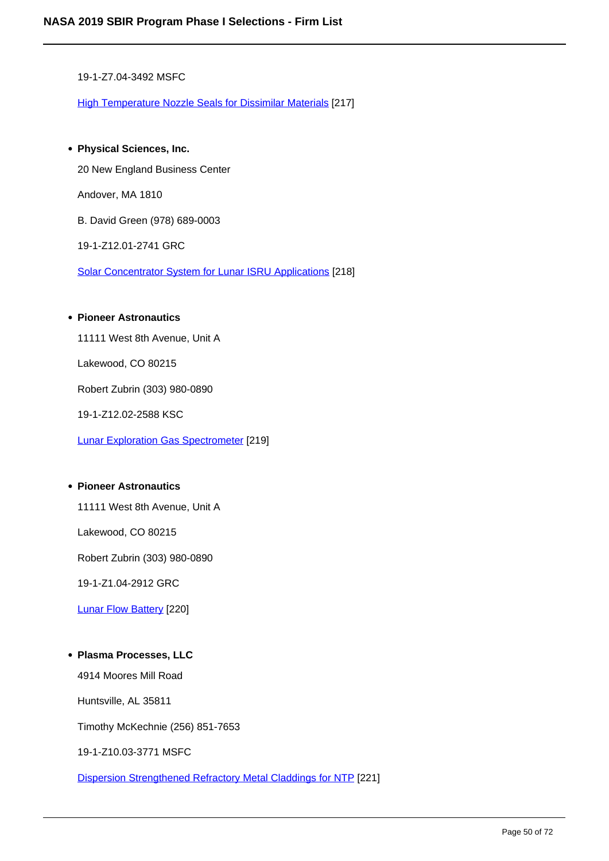19-1-Z7.04-3492 MSFC

High Temperature Nozzle Seals for Dissimilar Materials [217]

**Physical Sciences, Inc.** 20 New England Business Center

Andover, MA 1810

B. David Green (978) 689-0003

19-1-Z12.01-2741 GRC

Solar Concentrator System for Lunar ISRU Applications [218]

#### **Pioneer Astronautics**

11111 West 8th Avenue, Unit A

Lakewood, CO 80215

Robert Zubrin (303) 980-0890

19-1-Z12.02-2588 KSC

Lunar Exploration Gas Spectrometer [219]

### **Pioneer Astronautics**

11111 West 8th Avenue, Unit A

Lakewood, CO 80215

Robert Zubrin (303) 980-0890

19-1-Z1.04-2912 GRC

Lunar Flow Battery [220]

# **Plasma Processes, LLC**

4914 Moores Mill Road

Huntsville, AL 35811

Timothy McKechnie (256) 851-7653

19-1-Z10.03-3771 MSFC

Dispersion Strengthened Refractory Metal Claddings for NTP [221]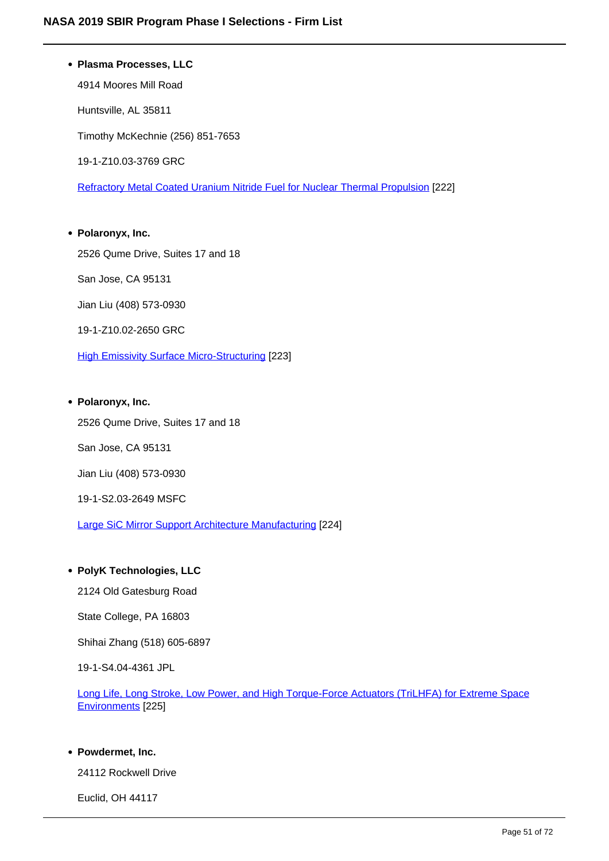# **Plasma Processes, LLC**

4914 Moores Mill Road Huntsville, AL 35811 Timothy McKechnie (256) 851-7653 19-1-Z10.03-3769 GRC

Refractory Metal Coated Uranium Nitride Fuel for Nuclear Thermal Propulsion [222]

**Polaronyx, Inc.** 2526 Qume Drive, Suites 17 and 18 San Jose, CA 95131 Jian Liu (408) 573-0930 19-1-Z10.02-2650 GRC

**High Emissivity Surface Micro-Structuring [223]** 

# **Polaronyx, Inc.**

2526 Qume Drive, Suites 17 and 18

San Jose, CA 95131

Jian Liu (408) 573-0930

# 19-1-S2.03-2649 MSFC

Large SiC Mirror Support Architecture Manufacturing [224]

# **PolyK Technologies, LLC**

2124 Old Gatesburg Road

State College, PA 16803

Shihai Zhang (518) 605-6897

19-1-S4.04-4361 JPL

Long Life, Long Stroke, Low Power, and High Torque-Force Actuators (TriLHFA) for Extreme Space Environments [225]

# **Powdermet, Inc.**

24112 Rockwell Drive

Euclid, OH 44117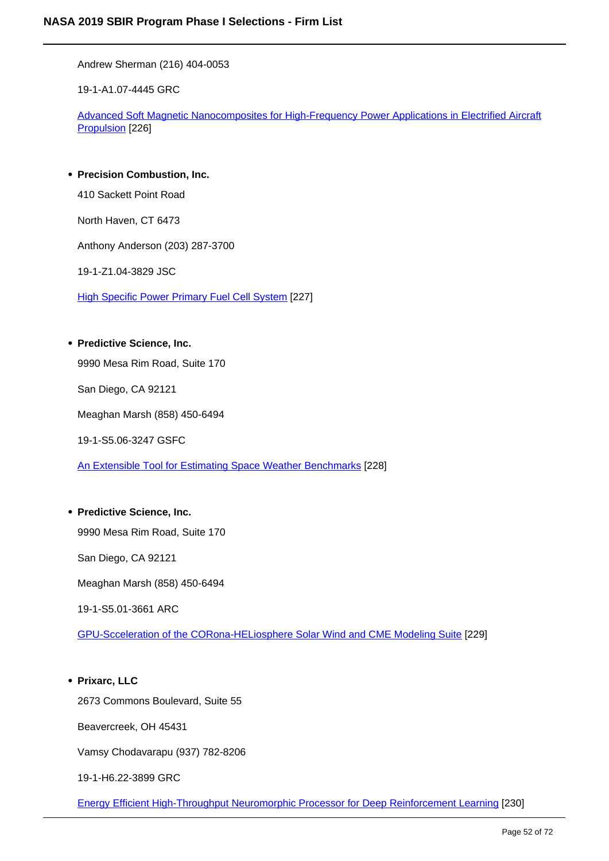Andrew Sherman (216) 404-0053

19-1-A1.07-4445 GRC

Advanced Soft Magnetic Nanocomposites for High-Frequency Power Applications in Electrified Aircraft Propulsion [226]

# **Precision Combustion, Inc.**

410 Sackett Point Road

North Haven, CT 6473

Anthony Anderson (203) 287-3700

19-1-Z1.04-3829 JSC

High Specific Power Primary Fuel Cell System [227]

# **Predictive Science, Inc.**

9990 Mesa Rim Road, Suite 170

San Diego, CA 92121

Meaghan Marsh (858) 450-6494

19-1-S5.06-3247 GSFC

An Extensible Tool for Estimating Space Weather Benchmarks [228]

# **Predictive Science, Inc.**

9990 Mesa Rim Road, Suite 170

San Diego, CA 92121

Meaghan Marsh (858) 450-6494

19-1-S5.01-3661 ARC

GPU-Scceleration of the CORona-HELiosphere Solar Wind and CME Modeling Suite [229]

# **Prixarc, LLC**

2673 Commons Boulevard, Suite 55

Beavercreek, OH 45431

Vamsy Chodavarapu (937) 782-8206

19-1-H6.22-3899 GRC

Energy Efficient High-Throughput Neuromorphic Processor for Deep Reinforcement Learning [230]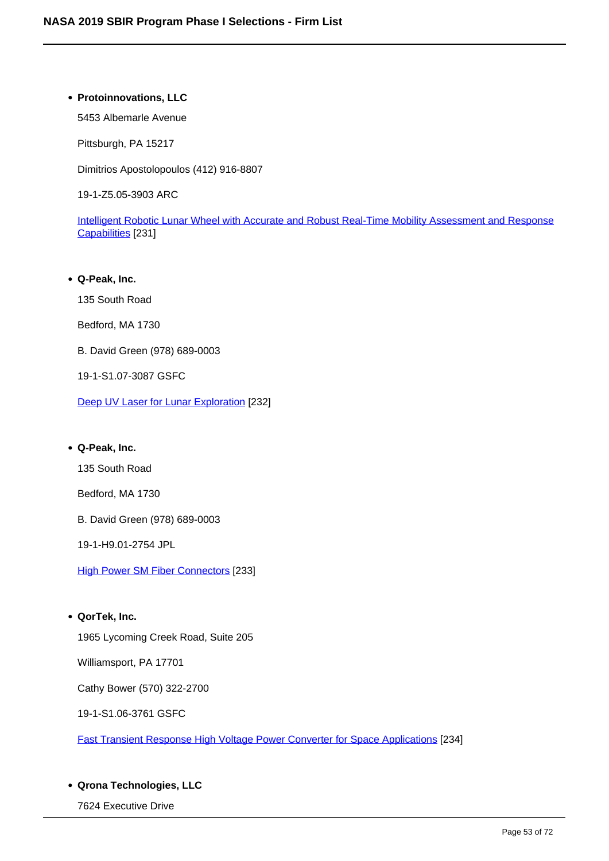# **Protoinnovations, LLC**

5453 Albemarle Avenue

Pittsburgh, PA 15217

Dimitrios Apostolopoulos (412) 916-8807

19-1-Z5.05-3903 ARC

Intelligent Robotic Lunar Wheel with Accurate and Robust Real-Time Mobility Assessment and Response Capabilities [231]

**Q-Peak, Inc.** 135 South Road Bedford, MA 1730 B. David Green (978) 689-0003 19-1-S1.07-3087 GSFC Deep UV Laser for Lunar Exploration [232]

# **Q-Peak, Inc.**

135 South Road

Bedford, MA 1730

B. David Green (978) 689-0003

19-1-H9.01-2754 JPL

**High Power SM Fiber Connectors [233]** 

**QorTek, Inc.**

1965 Lycoming Creek Road, Suite 205

Williamsport, PA 17701

Cathy Bower (570) 322-2700

19-1-S1.06-3761 GSFC

Fast Transient Response High Voltage Power Converter for Space Applications [234]

# **Qrona Technologies, LLC**

7624 Executive Drive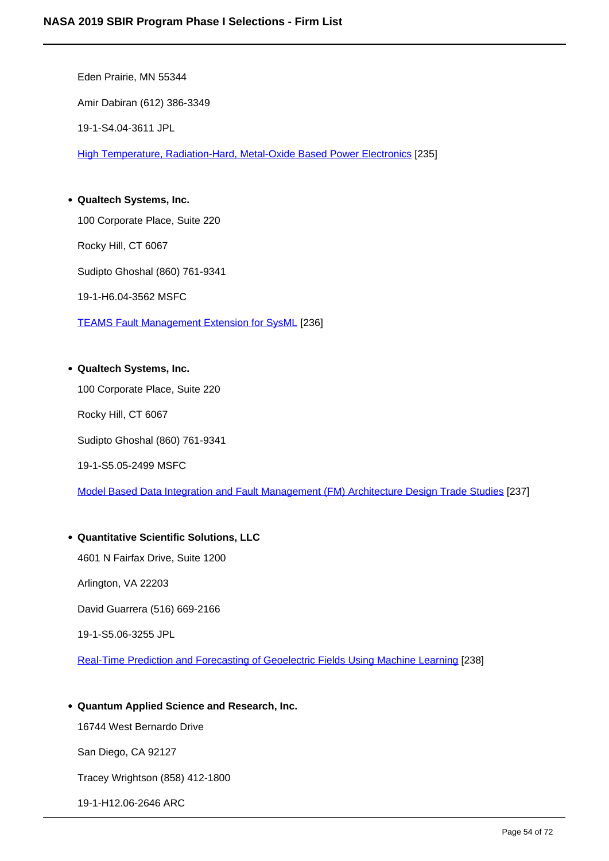Eden Prairie, MN 55344 Amir Dabiran (612) 386-3349 19-1-S4.04-3611 JPL High Temperature, Radiation-Hard, Metal-Oxide Based Power Electronics [235] **Qualtech Systems, Inc.**

100 Corporate Place, Suite 220

Rocky Hill, CT 6067

Sudipto Ghoshal (860) 761-9341

19-1-H6.04-3562 MSFC

TEAMS Fault Management Extension for SysML [236]

# **Qualtech Systems, Inc.**

100 Corporate Place, Suite 220

Rocky Hill, CT 6067

Sudipto Ghoshal (860) 761-9341

19-1-S5.05-2499 MSFC

Model Based Data Integration and Fault Management (FM) Architecture Design Trade Studies [237]

# **Quantitative Scientific Solutions, LLC**

4601 N Fairfax Drive, Suite 1200

Arlington, VA 22203

David Guarrera (516) 669-2166

19-1-S5.06-3255 JPL

Real-Time Prediction and Forecasting of Geoelectric Fields Using Machine Learning [238]

**Quantum Applied Science and Research, Inc.**

16744 West Bernardo Drive

San Diego, CA 92127

Tracey Wrightson (858) 412-1800

19-1-H12.06-2646 ARC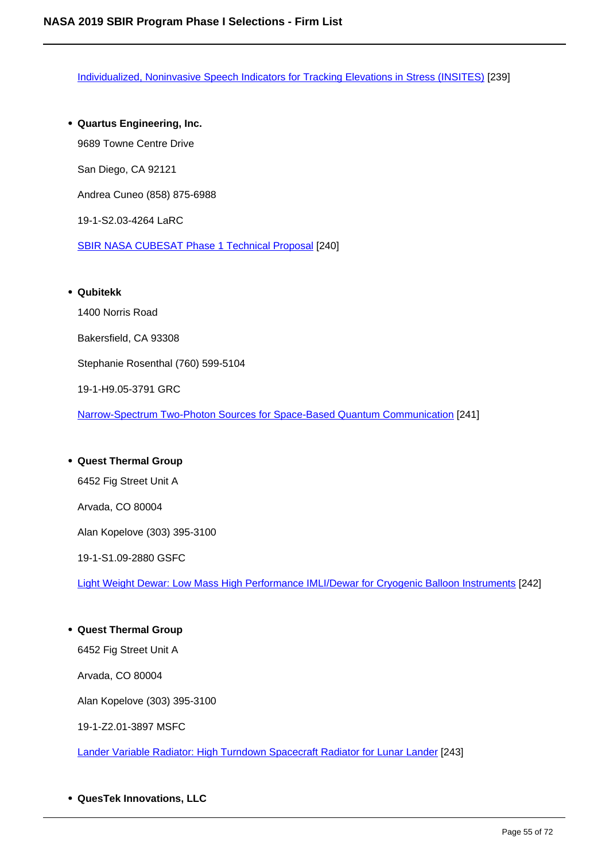Individualized, Noninvasive Speech Indicators for Tracking Elevations in Stress (INSITES) [239]

**Quartus Engineering, Inc.** 9689 Towne Centre Drive San Diego, CA 92121 Andrea Cuneo (858) 875-6988 19-1-S2.03-4264 LaRC SBIR NASA CUBESAT Phase 1 Technical Proposal [240]

#### **Qubitekk**

1400 Norris Road Bakersfield, CA 93308 Stephanie Rosenthal (760) 599-5104 19-1-H9.05-3791 GRC

Narrow-Spectrum Two-Photon Sources for Space-Based Quantum Communication [241]

# **Quest Thermal Group** 6452 Fig Street Unit A Arvada, CO 80004 Alan Kopelove (303) 395-3100 19-1-S1.09-2880 GSFC Light Weight Dewar: Low Mass High Performance IMLI/Dewar for Cryogenic Balloon Instruments [242]

**Quest Thermal Group** 6452 Fig Street Unit A

Arvada, CO 80004

Alan Kopelove (303) 395-3100

19-1-Z2.01-3897 MSFC

Lander Variable Radiator: High Turndown Spacecraft Radiator for Lunar Lander [243]

**QuesTek Innovations, LLC**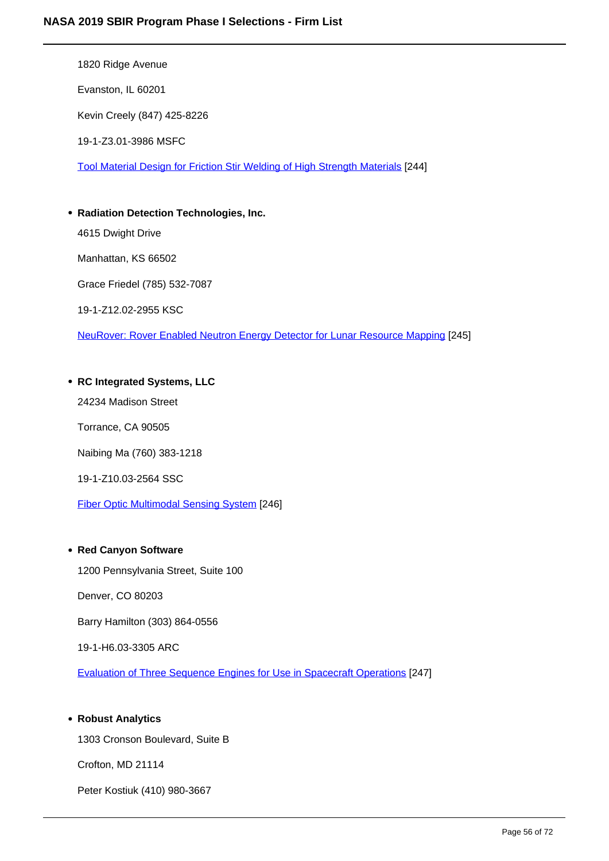1820 Ridge Avenue

Evanston, IL 60201

Kevin Creely (847) 425-8226

19-1-Z3.01-3986 MSFC

Tool Material Design for Friction Stir Welding of High Strength Materials [244]

# **Radiation Detection Technologies, Inc.**

4615 Dwight Drive

Manhattan, KS 66502

Grace Friedel (785) 532-7087

19-1-Z12.02-2955 KSC

NeuRover: Rover Enabled Neutron Energy Detector for Lunar Resource Mapping [245]

# **RC Integrated Systems, LLC**

24234 Madison Street

Torrance, CA 90505

Naibing Ma (760) 383-1218

19-1-Z10.03-2564 SSC

Fiber Optic Multimodal Sensing System [246]

# **Red Canyon Software**

1200 Pennsylvania Street, Suite 100

Denver, CO 80203

Barry Hamilton (303) 864-0556

19-1-H6.03-3305 ARC

Evaluation of Three Sequence Engines for Use in Spacecraft Operations [247]

# **Robust Analytics**

1303 Cronson Boulevard, Suite B

Crofton, MD 21114

Peter Kostiuk (410) 980-3667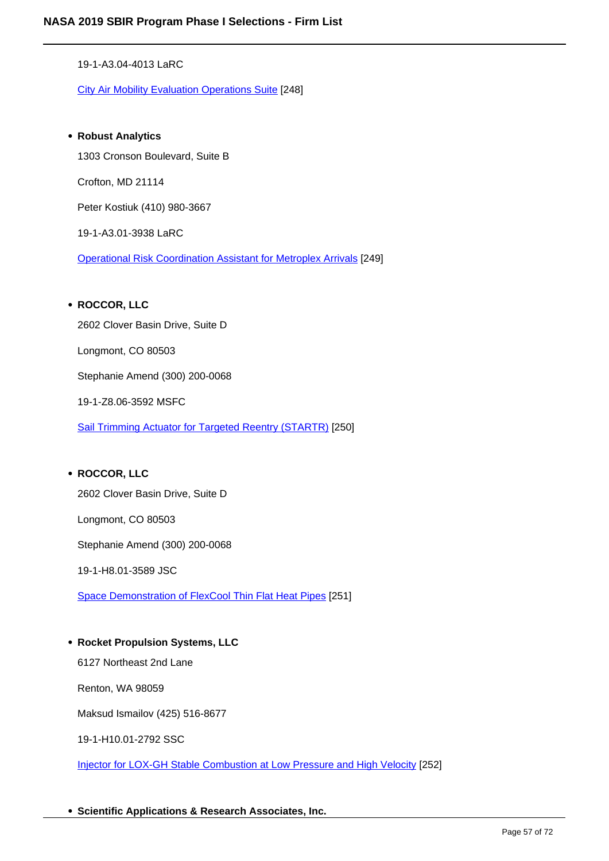19-1-A3.04-4013 LaRC

City Air Mobility Evaluation Operations Suite [248]

**Robust Analytics** 1303 Cronson Boulevard, Suite B Crofton, MD 21114 Peter Kostiuk (410) 980-3667 19-1-A3.01-3938 LaRC Operational Risk Coordination Assistant for Metroplex Arrivals [249]

# **ROCCOR, LLC**

2602 Clover Basin Drive, Suite D

Longmont, CO 80503

Stephanie Amend (300) 200-0068

19-1-Z8.06-3592 MSFC

Sail Trimming Actuator for Targeted Reentry (STARTR) [250]

#### **ROCCOR, LLC**

2602 Clover Basin Drive, Suite D

Longmont, CO 80503

Stephanie Amend (300) 200-0068

19-1-H8.01-3589 JSC

Space Demonstration of FlexCool Thin Flat Heat Pipes [251]

**Rocket Propulsion Systems, LLC**

6127 Northeast 2nd Lane

Renton, WA 98059

Maksud Ismailov (425) 516-8677

19-1-H10.01-2792 SSC

Injector for LOX-GH Stable Combustion at Low Pressure and High Velocity [252]

**Scientific Applications & Research Associates, Inc.**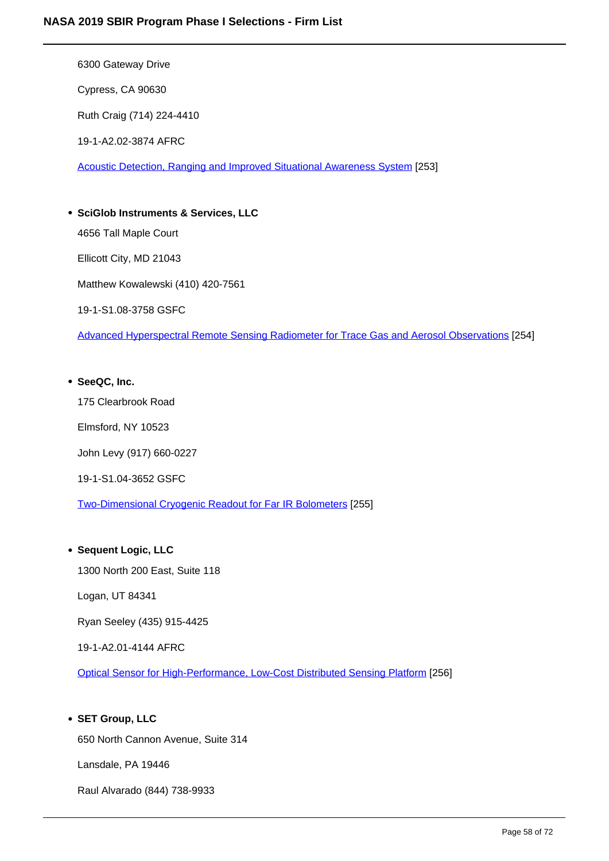6300 Gateway Drive

Cypress, CA 90630

Ruth Craig (714) 224-4410

19-1-A2.02-3874 AFRC

Acoustic Detection, Ranging and Improved Situational Awareness System [253]

**SciGlob Instruments & Services, LLC** 4656 Tall Maple Court Ellicott City, MD 21043 Matthew Kowalewski (410) 420-7561 19-1-S1.08-3758 GSFC Advanced Hyperspectral Remote Sensing Radiometer for Trace Gas and Aerosol Observations [254]

**SeeQC, Inc.** 175 Clearbrook Road Elmsford, NY 10523 John Levy (917) 660-0227 19-1-S1.04-3652 GSFC Two-Dimensional Cryogenic Readout for Far IR Bolometers [255]

# **Sequent Logic, LLC**

1300 North 200 East, Suite 118

Logan, UT 84341

Ryan Seeley (435) 915-4425

19-1-A2.01-4144 AFRC

Optical Sensor for High-Performance, Low-Cost Distributed Sensing Platform [256]

# **SET Group, LLC**

650 North Cannon Avenue, Suite 314

Lansdale, PA 19446

Raul Alvarado (844) 738-9933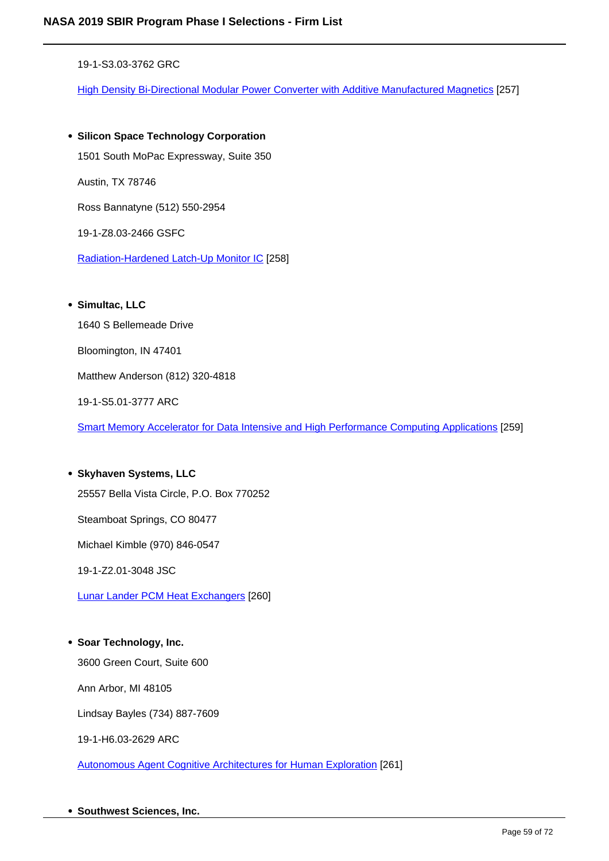19-1-S3.03-3762 GRC

High Density Bi-Directional Modular Power Converter with Additive Manufactured Magnetics [257]

**Silicon Space Technology Corporation** 1501 South MoPac Expressway, Suite 350 Austin, TX 78746 Ross Bannatyne (512) 550-2954 19-1-Z8.03-2466 GSFC Radiation-Hardened Latch-Up Monitor IC [258]

**Simultac, LLC**

1640 S Bellemeade Drive

Bloomington, IN 47401

Matthew Anderson (812) 320-4818

19-1-S5.01-3777 ARC

Smart Memory Accelerator for Data Intensive and High Performance Computing Applications [259]

**Skyhaven Systems, LLC** 25557 Bella Vista Circle, P.O. Box 770252 Steamboat Springs, CO 80477 Michael Kimble (970) 846-0547 19-1-Z2.01-3048 JSC Lunar Lander PCM Heat Exchangers [260]

**Soar Technology, Inc.** 3600 Green Court, Suite 600 Ann Arbor, MI 48105

Lindsay Bayles (734) 887-7609

19-1-H6.03-2629 ARC

Autonomous Agent Cognitive Architectures for Human Exploration [261]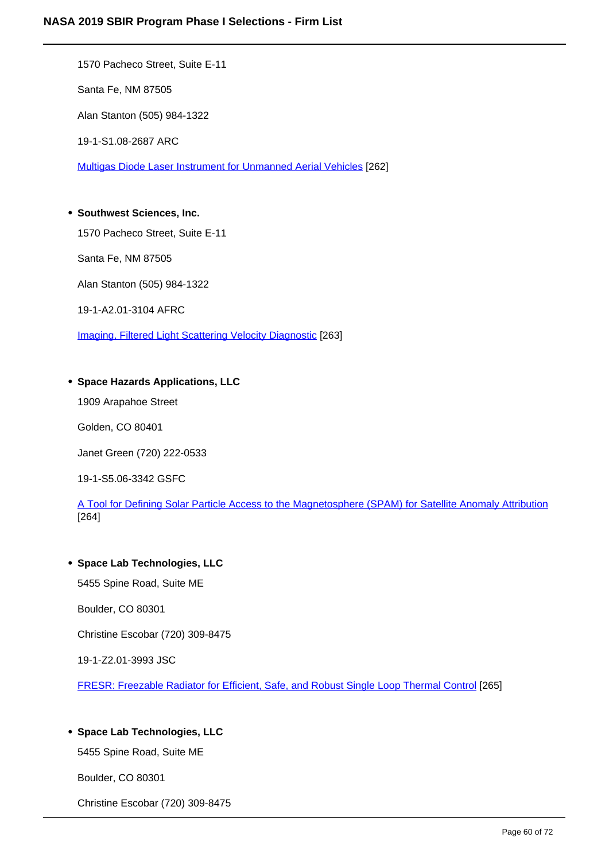1570 Pacheco Street, Suite E-11 Santa Fe, NM 87505 Alan Stanton (505) 984-1322 19-1-S1.08-2687 ARC Multigas Diode Laser Instrument for Unmanned Aerial Vehicles [262]

# **Southwest Sciences, Inc.**

1570 Pacheco Street, Suite E-11

Santa Fe, NM 87505

Alan Stanton (505) 984-1322

19-1-A2.01-3104 AFRC

Imaging, Filtered Light Scattering Velocity Diagnostic [263]

# **Space Hazards Applications, LLC**

1909 Arapahoe Street

Golden, CO 80401

Janet Green (720) 222-0533

19-1-S5.06-3342 GSFC

A Tool for Defining Solar Particle Access to the Magnetosphere (SPAM) for Satellite Anomaly Attribution [264]

# **Space Lab Technologies, LLC**

5455 Spine Road, Suite ME

Boulder, CO 80301

Christine Escobar (720) 309-8475

19-1-Z2.01-3993 JSC

FRESR: Freezable Radiator for Efficient, Safe, and Robust Single Loop Thermal Control [265]

# **Space Lab Technologies, LLC**

5455 Spine Road, Suite ME

Boulder, CO 80301

Christine Escobar (720) 309-8475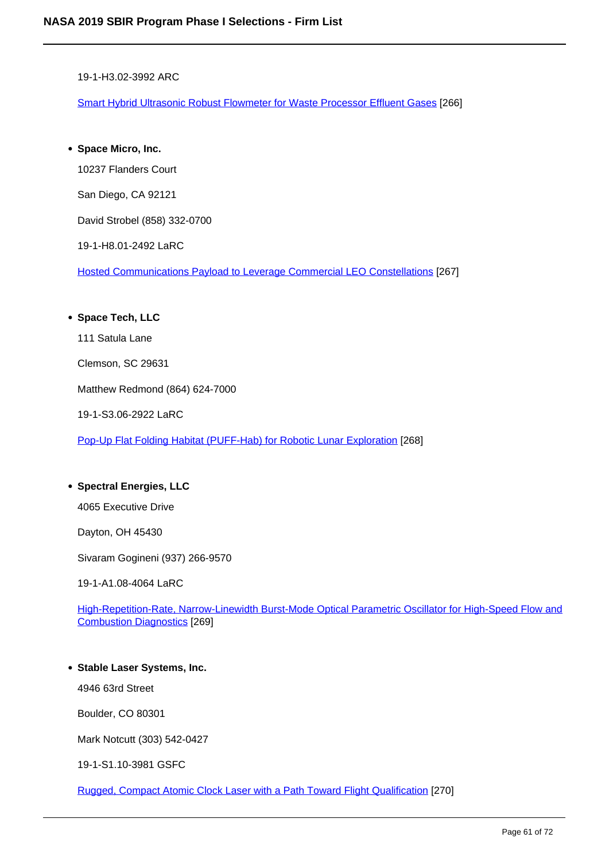19-1-H3.02-3992 ARC

Smart Hybrid Ultrasonic Robust Flowmeter for Waste Processor Effluent Gases [266]

**Space Micro, Inc.**

10237 Flanders Court

San Diego, CA 92121

David Strobel (858) 332-0700

19-1-H8.01-2492 LaRC

Hosted Communications Payload to Leverage Commercial LEO Constellations [267]

# **Space Tech, LLC**

111 Satula Lane

Clemson, SC 29631

Matthew Redmond (864) 624-7000

19-1-S3.06-2922 LaRC

Pop-Up Flat Folding Habitat (PUFF-Hab) for Robotic Lunar Exploration [268]

# **Spectral Energies, LLC**

4065 Executive Drive

Dayton, OH 45430

Sivaram Gogineni (937) 266-9570

19-1-A1.08-4064 LaRC

High-Repetition-Rate, Narrow-Linewidth Burst-Mode Optical Parametric Oscillator for High-Speed Flow and Combustion Diagnostics [269]

# **Stable Laser Systems, Inc.**

4946 63rd Street

Boulder, CO 80301

Mark Notcutt (303) 542-0427

19-1-S1.10-3981 GSFC

Rugged, Compact Atomic Clock Laser with a Path Toward Flight Qualification [270]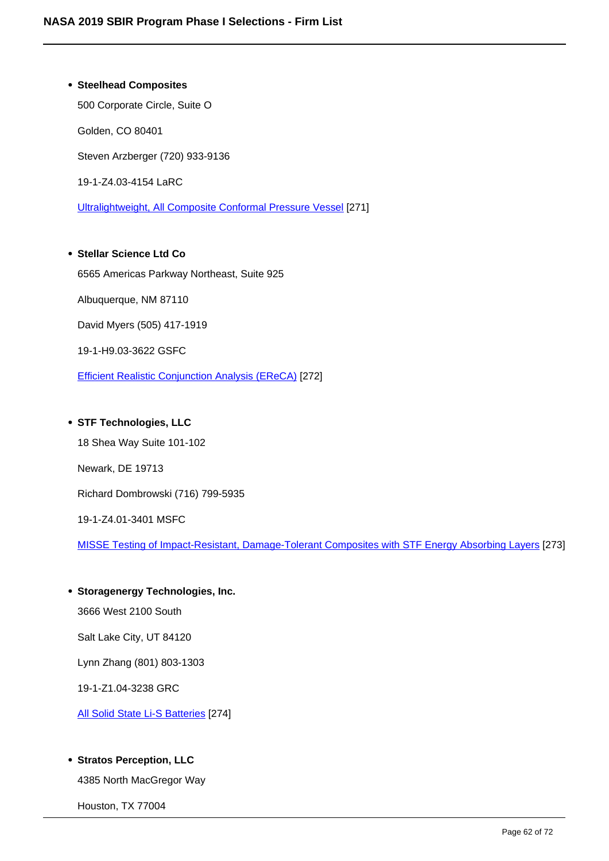**Steelhead Composites** 500 Corporate Circle, Suite O Golden, CO 80401 Steven Arzberger (720) 933-9136 19-1-Z4.03-4154 LaRC

Ultralightweight, All Composite Conformal Pressure Vessel [271]

# **Stellar Science Ltd Co** 6565 Americas Parkway Northeast, Suite 925

Albuquerque, NM 87110

David Myers (505) 417-1919

19-1-H9.03-3622 GSFC

Efficient Realistic Conjunction Analysis (EReCA) [272]

# **STF Technologies, LLC**

18 Shea Way Suite 101-102 Newark, DE 19713 Richard Dombrowski (716) 799-5935 19-1-Z4.01-3401 MSFC MISSE Testing of Impact-Resistant, Damage-Tolerant Composites with STF Energy Absorbing Layers [273]

**Storagenergy Technologies, Inc.**  3666 West 2100 South Salt Lake City, UT 84120 Lynn Zhang (801) 803-1303 19-1-Z1.04-3238 GRC

All Solid State Li-S Batteries [274]

# **• Stratos Perception, LLC**

4385 North MacGregor Way

Houston, TX 77004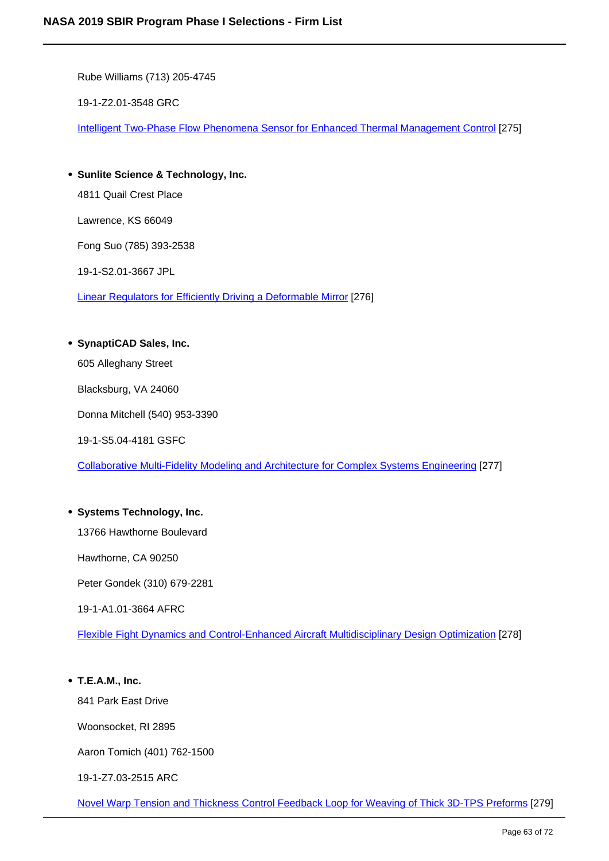Rube Williams (713) 205-4745

19-1-Z2.01-3548 GRC

Intelligent Two-Phase Flow Phenomena Sensor for Enhanced Thermal Management Control [275]

- **Sunlite Science & Technology, Inc.** 4811 Quail Crest Place Lawrence, KS 66049 Fong Suo (785) 393-2538 19-1-S2.01-3667 JPL Linear Regulators for Efficiently Driving a Deformable Mirror [276]
- **SynaptiCAD Sales, Inc.**

605 Alleghany Street

Blacksburg, VA 24060

Donna Mitchell (540) 953-3390

19-1-S5.04-4181 GSFC

Collaborative Multi-Fidelity Modeling and Architecture for Complex Systems Engineering [277]

# **Systems Technology, Inc.**

13766 Hawthorne Boulevard

Hawthorne, CA 90250

Peter Gondek (310) 679-2281

19-1-A1.01-3664 AFRC

Flexible Fight Dynamics and Control-Enhanced Aircraft Multidisciplinary Design Optimization [278]

# **T.E.A.M., Inc.**

841 Park East Drive

Woonsocket, RI 2895

Aaron Tomich (401) 762-1500

19-1-Z7.03-2515 ARC

Novel Warp Tension and Thickness Control Feedback Loop for Weaving of Thick 3D-TPS Preforms [279]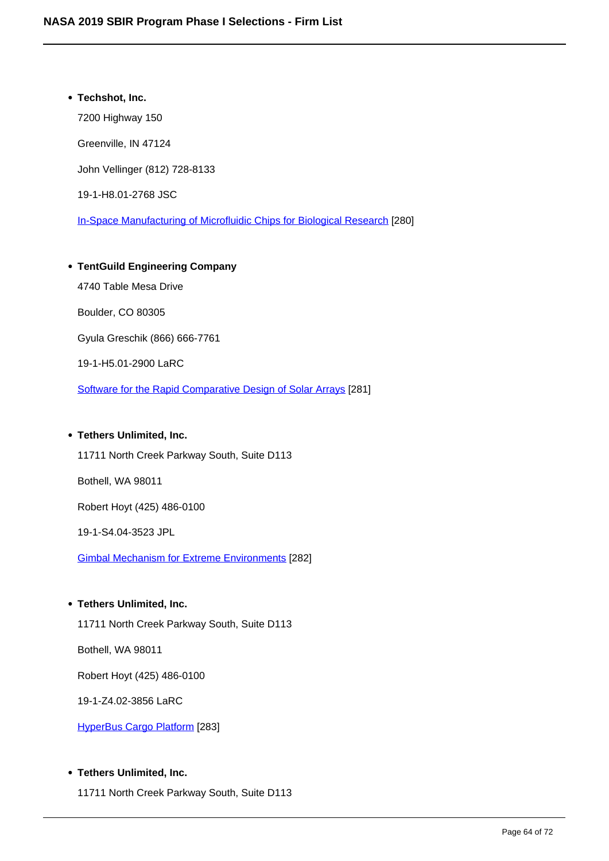# **Techshot, Inc.** 7200 Highway 150 Greenville, IN 47124 John Vellinger (812) 728-8133 19-1-H8.01-2768 JSC In-Space Manufacturing of Microfluidic Chips for Biological Research [280]

# **TentGuild Engineering Company** 4740 Table Mesa Drive Boulder, CO 80305 Gyula Greschik (866) 666-7761 19-1-H5.01-2900 LaRC Software for the Rapid Comparative Design of Solar Arrays [281]

# **Tethers Unlimited, Inc.**

11711 North Creek Parkway South, Suite D113

Bothell, WA 98011

Robert Hoyt (425) 486-0100

19-1-S4.04-3523 JPL

Gimbal Mechanism for Extreme Environments [282]

# **Tethers Unlimited, Inc.**

11711 North Creek Parkway South, Suite D113

Bothell, WA 98011

Robert Hoyt (425) 486-0100

19-1-Z4.02-3856 LaRC

HyperBus Cargo Platform [283]

# **Tethers Unlimited, Inc.**

11711 North Creek Parkway South, Suite D113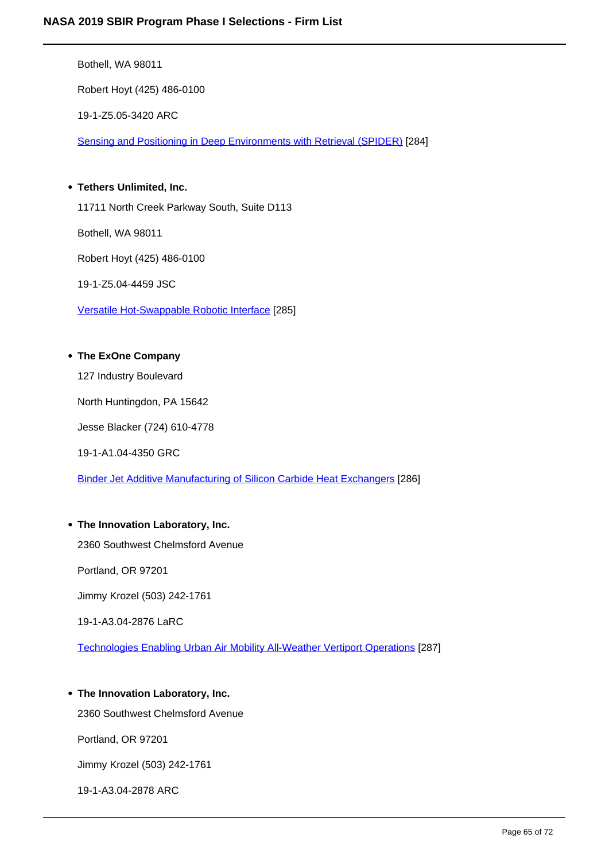Bothell, WA 98011

Robert Hoyt (425) 486-0100

19-1-Z5.05-3420 ARC

Sensing and Positioning in Deep Environments with Retrieval (SPIDER) [284]

# **Tethers Unlimited, Inc.**

11711 North Creek Parkway South, Suite D113

Bothell, WA 98011

Robert Hoyt (425) 486-0100

19-1-Z5.04-4459 JSC

Versatile Hot-Swappable Robotic Interface [285]

# **The ExOne Company**

127 Industry Boulevard

North Huntingdon, PA 15642

Jesse Blacker (724) 610-4778

19-1-A1.04-4350 GRC

Binder Jet Additive Manufacturing of Silicon Carbide Heat Exchangers [286]

# **The Innovation Laboratory, Inc.**

2360 Southwest Chelmsford Avenue

Portland, OR 97201

Jimmy Krozel (503) 242-1761

19-1-A3.04-2876 LaRC

Technologies Enabling Urban Air Mobility All-Weather Vertiport Operations [287]

# **The Innovation Laboratory, Inc.**

2360 Southwest Chelmsford Avenue

Portland, OR 97201

Jimmy Krozel (503) 242-1761

19-1-A3.04-2878 ARC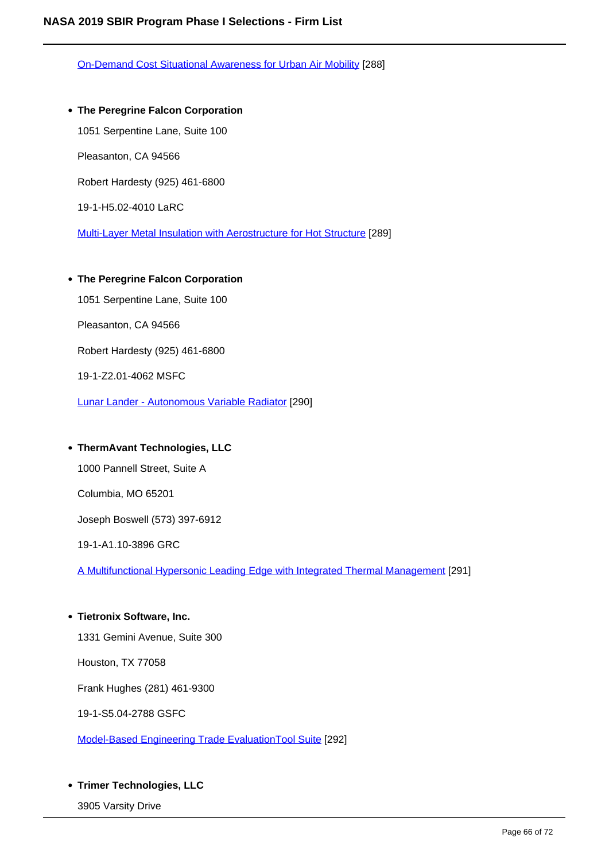On-Demand Cost Situational Awareness for Urban Air Mobility [288]

- **The Peregrine Falcon Corporation** 1051 Serpentine Lane, Suite 100 Pleasanton, CA 94566 Robert Hardesty (925) 461-6800 19-1-H5.02-4010 LaRC Multi-Layer Metal Insulation with Aerostructure for Hot Structure [289]
- **The Peregrine Falcon Corporation** 1051 Serpentine Lane, Suite 100 Pleasanton, CA 94566 Robert Hardesty (925) 461-6800 19-1-Z2.01-4062 MSFC

Lunar Lander - Autonomous Variable Radiator [290]

#### **ThermAvant Technologies, LLC**

1000 Pannell Street, Suite A

Columbia, MO 65201

Joseph Boswell (573) 397-6912

19-1-A1.10-3896 GRC

A Multifunctional Hypersonic Leading Edge with Integrated Thermal Management [291]

**Tietronix Software, Inc.**

1331 Gemini Avenue, Suite 300

Houston, TX 77058

Frank Hughes (281) 461-9300

19-1-S5.04-2788 GSFC

Model-Based Engineering Trade EvaluationTool Suite [292]

#### **Trimer Technologies, LLC**

3905 Varsity Drive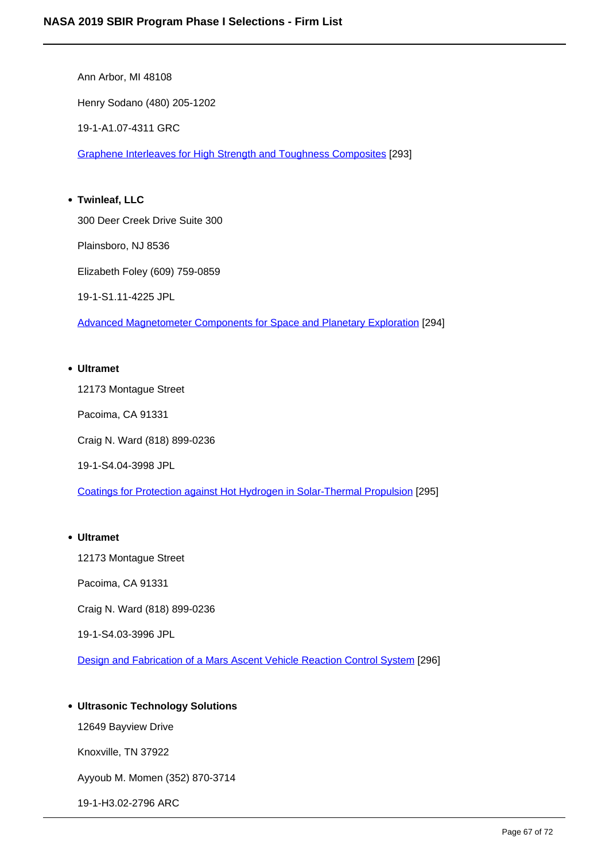Ann Arbor, MI 48108 Henry Sodano (480) 205-1202 19-1-A1.07-4311 GRC Graphene Interleaves for High Strength and Toughness Composites [293] **Twinleaf, LLC** 300 Deer Creek Drive Suite 300

Plainsboro, NJ 8536

Elizabeth Foley (609) 759-0859

19-1-S1.11-4225 JPL

Advanced Magnetometer Components for Space and Planetary Exploration [294]

### **Ultramet**

12173 Montague Street

Pacoima, CA 91331

Craig N. Ward (818) 899-0236

19-1-S4.04-3998 JPL

Coatings for Protection against Hot Hydrogen in Solar-Thermal Propulsion [295]

#### **Ultramet**

12173 Montague Street

Pacoima, CA 91331

Craig N. Ward (818) 899-0236

19-1-S4.03-3996 JPL

Design and Fabrication of a Mars Ascent Vehicle Reaction Control System [296]

# **Ultrasonic Technology Solutions**

12649 Bayview Drive

Knoxville, TN 37922

Ayyoub M. Momen (352) 870-3714

19-1-H3.02-2796 ARC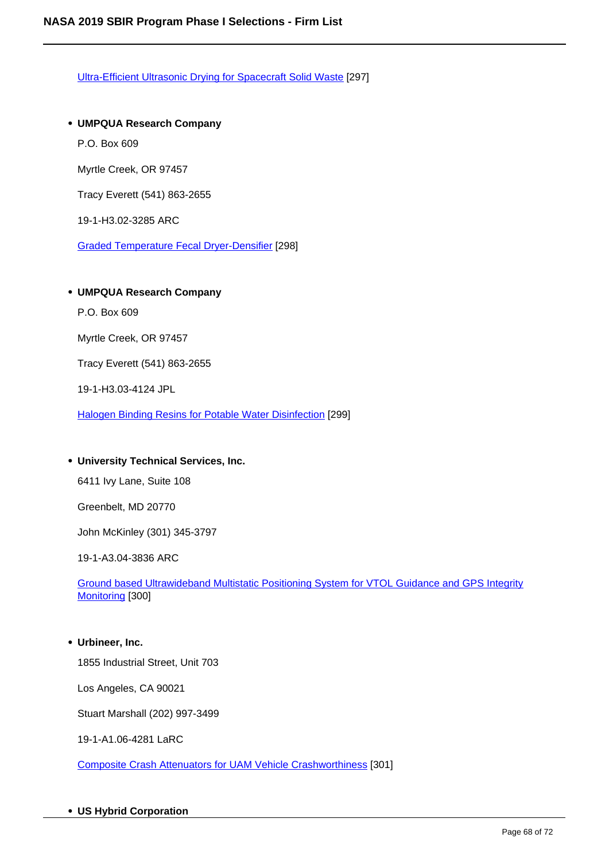Ultra-Efficient Ultrasonic Drying for Spacecraft Solid Waste [297]

**UMPQUA Research Company** P.O. Box 609 Myrtle Creek, OR 97457 Tracy Everett (541) 863-2655 19-1-H3.02-3285 ARC Graded Temperature Fecal Dryer-Densifier [298]

#### **UMPQUA Research Company**

P.O. Box 609

Myrtle Creek, OR 97457

Tracy Everett (541) 863-2655

19-1-H3.03-4124 JPL

Halogen Binding Resins for Potable Water Disinfection [299]

# **University Technical Services, Inc.**

6411 Ivy Lane, Suite 108

Greenbelt, MD 20770

John McKinley (301) 345-3797

19-1-A3.04-3836 ARC

Ground based Ultrawideband Multistatic Positioning System for VTOL Guidance and GPS Integrity Monitoring [300]

# **Urbineer, Inc.**

1855 Industrial Street, Unit 703

Los Angeles, CA 90021

Stuart Marshall (202) 997-3499

19-1-A1.06-4281 LaRC

Composite Crash Attenuators for UAM Vehicle Crashworthiness [301]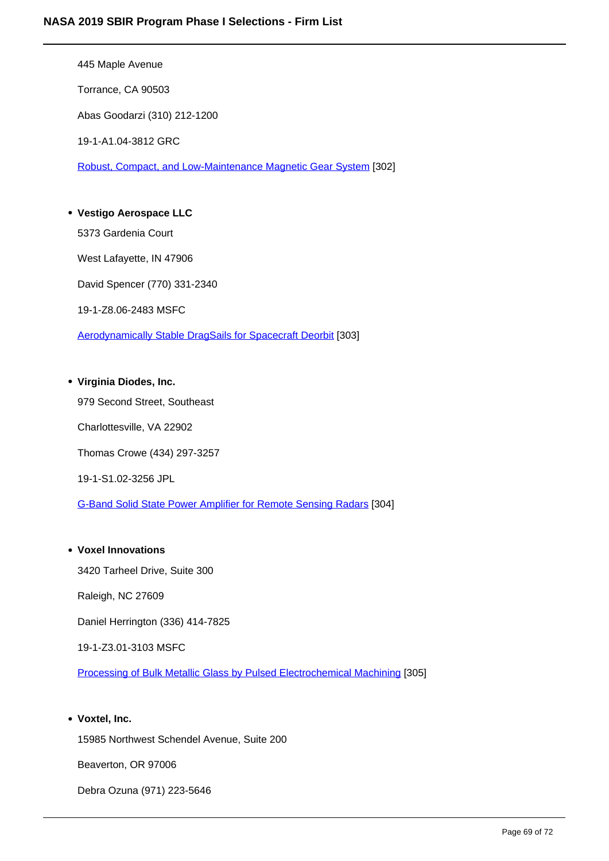445 Maple Avenue Torrance, CA 90503 Abas Goodarzi (310) 212-1200 19-1-A1.04-3812 GRC Robust, Compact, and Low-Maintenance Magnetic Gear System [302] **Vestigo Aerospace LLC**

5373 Gardenia Court West Lafayette, IN 47906 David Spencer (770) 331-2340 19-1-Z8.06-2483 MSFC Aerodynamically Stable DragSails for Spacecraft Deorbit [303]

# **Virginia Diodes, Inc.**

979 Second Street, Southeast Charlottesville, VA 22902 Thomas Crowe (434) 297-3257 19-1-S1.02-3256 JPL

G-Band Solid State Power Amplifier for Remote Sensing Radars [304]

# **Voxel Innovations**

3420 Tarheel Drive, Suite 300

Raleigh, NC 27609

Daniel Herrington (336) 414-7825

19-1-Z3.01-3103 MSFC

Processing of Bulk Metallic Glass by Pulsed Electrochemical Machining [305]

# **Voxtel, Inc.**

15985 Northwest Schendel Avenue, Suite 200

Beaverton, OR 97006

Debra Ozuna (971) 223-5646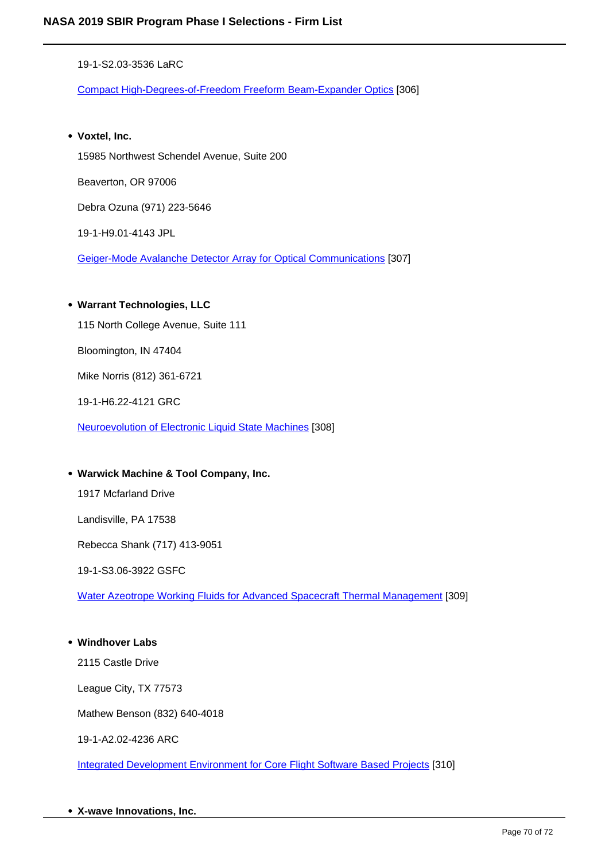19-1-S2.03-3536 LaRC

Compact High-Degrees-of-Freedom Freeform Beam-Expander Optics [306]

**Voxtel, Inc.**

15985 Northwest Schendel Avenue, Suite 200

Beaverton, OR 97006

Debra Ozuna (971) 223-5646

19-1-H9.01-4143 JPL

Geiger-Mode Avalanche Detector Array for Optical Communications [307]

# **Warrant Technologies, LLC**

115 North College Avenue, Suite 111

Bloomington, IN 47404

Mike Norris (812) 361-6721

19-1-H6.22-4121 GRC

Neuroevolution of Electronic Liquid State Machines [308]

# **Warwick Machine & Tool Company, Inc.**

1917 Mcfarland Drive

Landisville, PA 17538

Rebecca Shank (717) 413-9051

19-1-S3.06-3922 GSFC

Water Azeotrope Working Fluids for Advanced Spacecraft Thermal Management [309]

# **Windhover Labs**

2115 Castle Drive

League City, TX 77573

Mathew Benson (832) 640-4018

19-1-A2.02-4236 ARC

Integrated Development Environment for Core Flight Software Based Projects [310]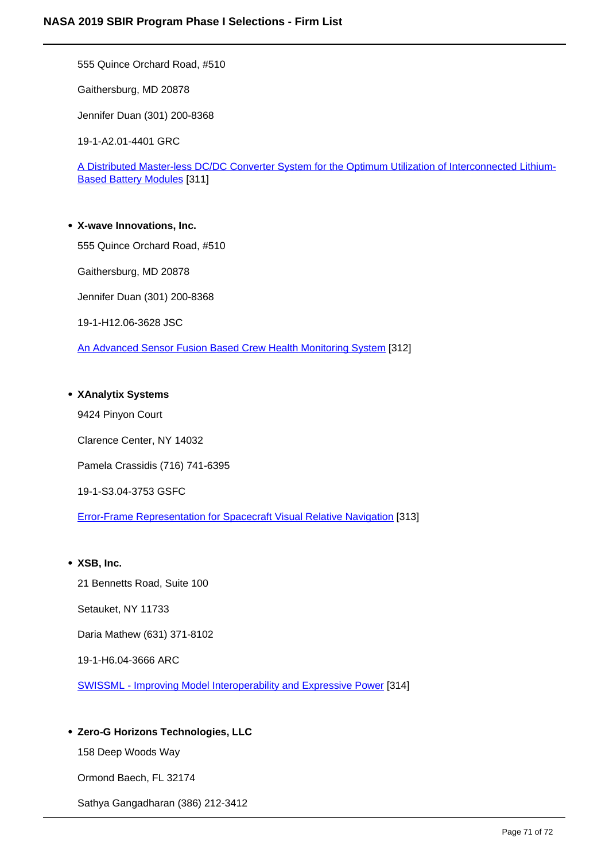555 Quince Orchard Road, #510

Gaithersburg, MD 20878

Jennifer Duan (301) 200-8368

19-1-A2.01-4401 GRC

A Distributed Master-less DC/DC Converter System for the Optimum Utilization of Interconnected Lithium-Based Battery Modules [311]

**X-wave Innovations, Inc.** 555 Quince Orchard Road, #510 Gaithersburg, MD 20878 Jennifer Duan (301) 200-8368 19-1-H12.06-3628 JSC An Advanced Sensor Fusion Based Crew Health Monitoring System [312]

#### **XAnalytix Systems**

9424 Pinyon Court Clarence Center, NY 14032 Pamela Crassidis (716) 741-6395 19-1-S3.04-3753 GSFC Error-Frame Representation for Spacecraft Visual Relative Navigation [313]

# **XSB, Inc.**

21 Bennetts Road, Suite 100 Setauket, NY 11733 Daria Mathew (631) 371-8102 19-1-H6.04-3666 ARC SWISSML - Improving Model Interoperability and Expressive Power [314]

# **Zero-G Horizons Technologies, LLC**

158 Deep Woods Way

Ormond Baech, FL 32174

Sathya Gangadharan (386) 212-3412